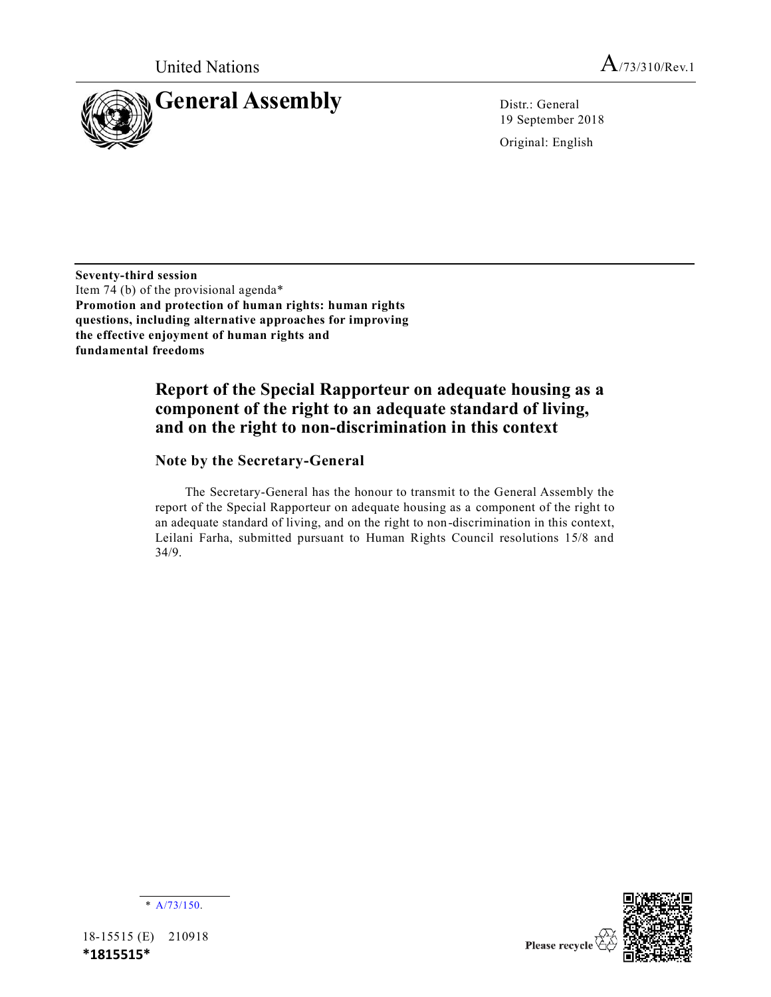

19 September 2018

Original: English

**Seventy-third session** Item 74 (b) of the provisional agenda\* **Promotion and protection of human rights: human rights questions, including alternative approaches for improving the effective enjoyment of human rights and fundamental freedoms**

## **Report of the Special Rapporteur on adequate housing as a component of the right to an adequate standard of living, and on the right to non-discrimination in this context**

## **Note by the Secretary-General**

The Secretary-General has the honour to transmit to the General Assembly the report of the Special Rapporteur on adequate housing as a component of the right to an adequate standard of living, and on the right to non-discrimination in this context, Leilani Farha, submitted pursuant to Human Rights Council resolutions 15/8 and 34/9.



18-15515 (E) 210918 **\*1815515\***

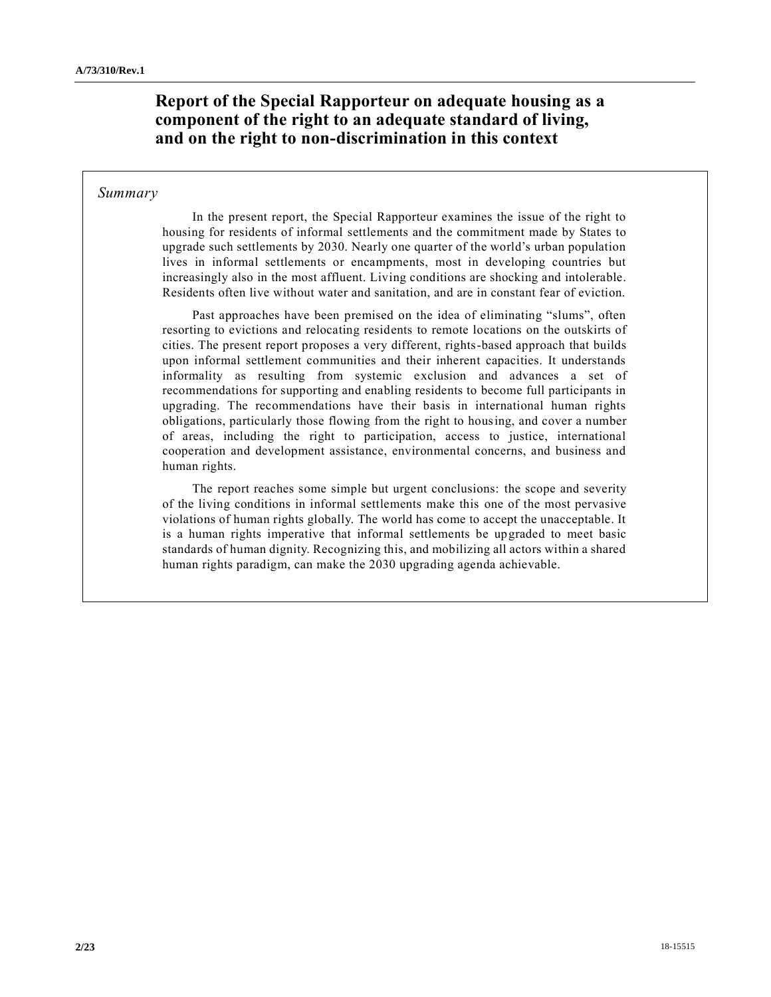## **Report of the Special Rapporteur on adequate housing as a component of the right to an adequate standard of living, and on the right to non-discrimination in this context**

## *Summary*

In the present report, the Special Rapporteur examines the issue of the right to housing for residents of informal settlements and the commitment made by States to upgrade such settlements by 2030. Nearly one quarter of the world's urban population lives in informal settlements or encampments, most in developing countries but increasingly also in the most affluent. Living conditions are shocking and intolerable. Residents often live without water and sanitation, and are in constant fear of eviction.

Past approaches have been premised on the idea of eliminating "slums", often resorting to evictions and relocating residents to remote locations on the outskirts of cities. The present report proposes a very different, rights-based approach that builds upon informal settlement communities and their inherent capacities. It understands informality as resulting from systemic exclusion and advances a set of recommendations for supporting and enabling residents to become full participants in upgrading. The recommendations have their basis in international human rights obligations, particularly those flowing from the right to housing, and cover a number of areas, including the right to participation, access to justice, international cooperation and development assistance, environmental concerns, and business and human rights.

The report reaches some simple but urgent conclusions: the scope and severity of the living conditions in informal settlements make this one of the most pervasive violations of human rights globally. The world has come to accept the unacceptable. It is a human rights imperative that informal settlements be upgraded to meet basic standards of human dignity. Recognizing this, and mobilizing all actors within a shared human rights paradigm, can make the 2030 upgrading agenda achievable.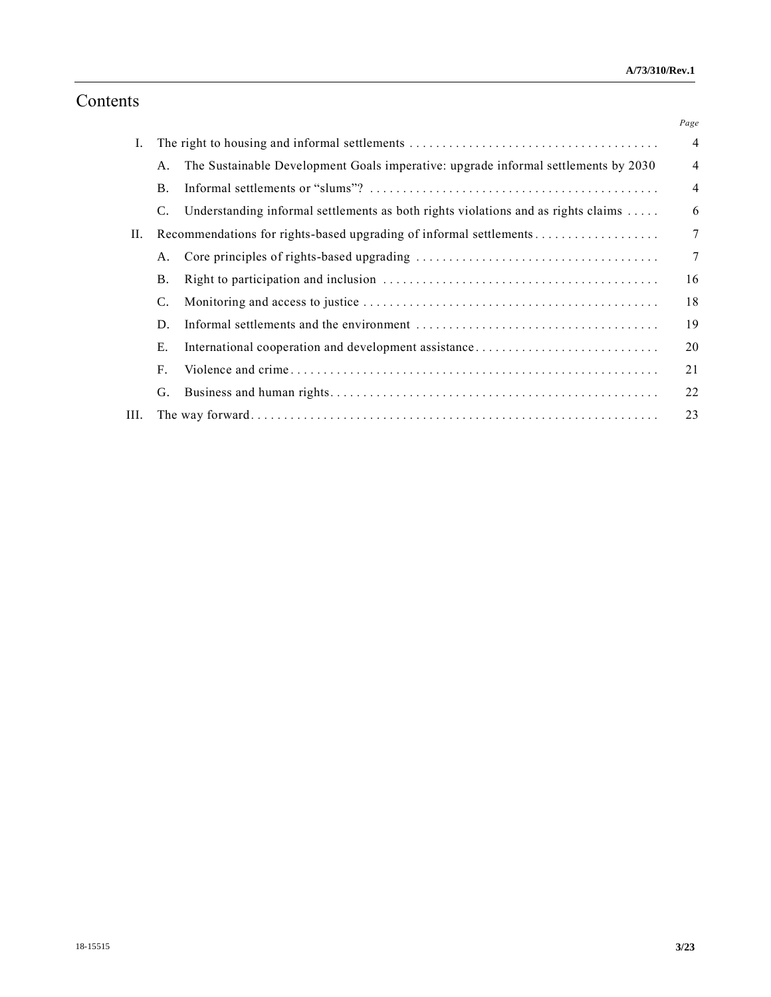# Contents

|      |                                                                    |                                                                                    | Page           |
|------|--------------------------------------------------------------------|------------------------------------------------------------------------------------|----------------|
| Ι.   |                                                                    |                                                                                    | $\overline{4}$ |
|      | А.                                                                 | The Sustainable Development Goals imperative: upgrade informal settlements by 2030 | $\overline{4}$ |
|      | <b>B.</b>                                                          |                                                                                    | $\overline{4}$ |
|      | C.                                                                 | Understanding informal settlements as both rights violations and as rights claims  | 6              |
| П.   | Recommendations for rights-based upgrading of informal settlements |                                                                                    | $\overline{7}$ |
|      | Α.                                                                 |                                                                                    | $\overline{7}$ |
|      | Β.                                                                 |                                                                                    | 16             |
|      | C.                                                                 |                                                                                    | 18             |
|      | D.                                                                 |                                                                                    | 19             |
|      | Е.                                                                 | International cooperation and development assistance                               | 20             |
|      | F.                                                                 |                                                                                    | 21             |
|      | G.                                                                 |                                                                                    | 22             |
| III. |                                                                    |                                                                                    | 23             |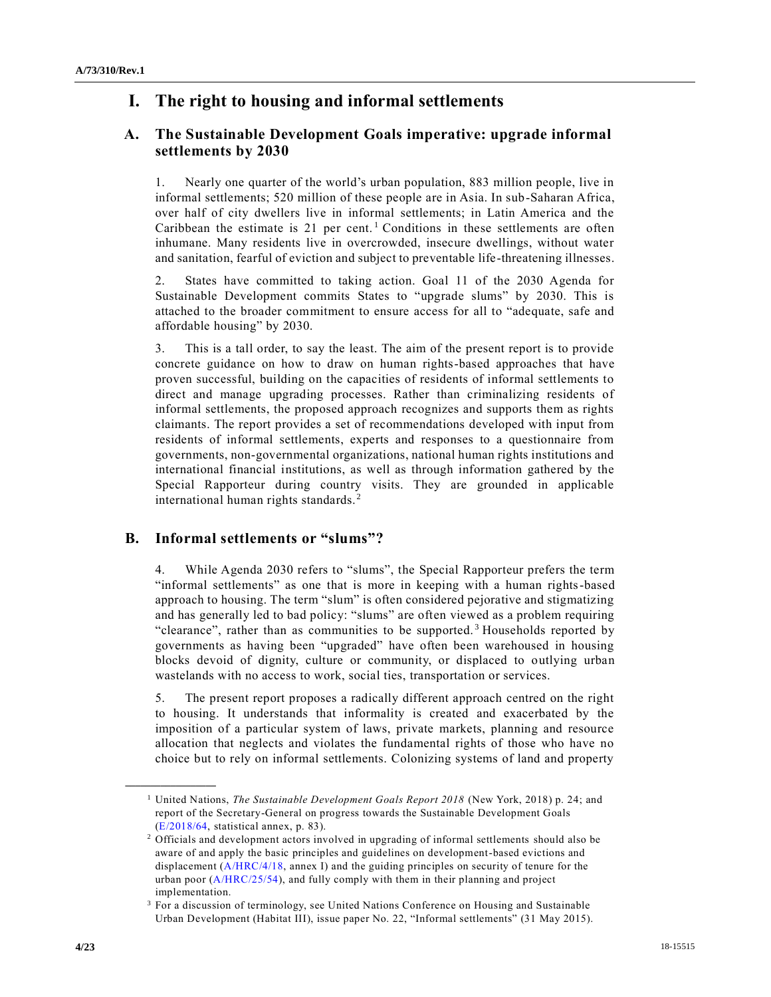## **I. The right to housing and informal settlements**

## **A. The Sustainable Development Goals imperative: upgrade informal settlements by 2030**

1. Nearly one quarter of the world's urban population, 883 million people, live in informal settlements; 520 million of these people are in Asia. In sub-Saharan Africa, over half of city dwellers live in informal settlements; in Latin America and the Caribbean the estimate is 21 per cent.<sup>1</sup> Conditions in these settlements are often inhumane. Many residents live in overcrowded, insecure dwellings, without water and sanitation, fearful of eviction and subject to preventable life-threatening illnesses.

2. States have committed to taking action. Goal 11 of the 2030 Agenda for Sustainable Development commits States to "upgrade slums" by 2030. This is attached to the broader commitment to ensure access for all to "adequate, safe and affordable housing" by 2030.

3. This is a tall order, to say the least. The aim of the present report is to provide concrete guidance on how to draw on human rights-based approaches that have proven successful, building on the capacities of residents of informal settlements to direct and manage upgrading processes. Rather than criminalizing residents of informal settlements, the proposed approach recognizes and supports them as rights claimants. The report provides a set of recommendations developed with input from residents of informal settlements, experts and responses to a questionnaire from governments, non-governmental organizations, national human rights institutions and international financial institutions, as well as through information gathered by the Special Rapporteur during country visits. They are grounded in applicable international human rights standards. <sup>2</sup>

## **B. Informal settlements or "slums"?**

4. While Agenda 2030 refers to "slums", the Special Rapporteur prefers the term "informal settlements" as one that is more in keeping with a human rights-based approach to housing. The term "slum" is often considered pejorative and stigmatizing and has generally led to bad policy: "slums" are often viewed as a problem requiring "clearance", rather than as communities to be supported.<sup>3</sup> Households reported by governments as having been "upgraded" have often been warehoused in housing blocks devoid of dignity, culture or community, or displaced to outlying urban wastelands with no access to work, social ties, transportation or services.

5. The present report proposes a radically different approach centred on the right to housing. It understands that informality is created and exacerbated by the imposition of a particular system of laws, private markets, planning and resource allocation that neglects and violates the fundamental rights of those who have no choice but to rely on informal settlements. Colonizing systems of land and property

<sup>1</sup> United Nations, *The Sustainable Development Goals Report 2018* (New York, 2018) p. 24; and report of the Secretary-General on progress towards the Sustainable Development Goals [\(E/2018/64,](https://undocs.org/E/2018/64) statistical annex, p. 83).

<sup>&</sup>lt;sup>2</sup> Officials and development actors involved in upgrading of informal settlements should also be aware of and apply the basic principles and guidelines on development-based evictions and displacement [\(A/HRC/4/18,](https://undocs.org/A/HRC/4/18) annex I) and the guiding principles on security of tenure for the urban poor [\(A/HRC/25/54\)](https://undocs.org/A/HRC/25/54), and fully comply with them in their planning and project implementation.

<sup>&</sup>lt;sup>3</sup> For a discussion of terminology, see United Nations Conference on Housing and Sustainable Urban Development (Habitat III), issue paper No. 22, "Informal settlements" (31 May 2015).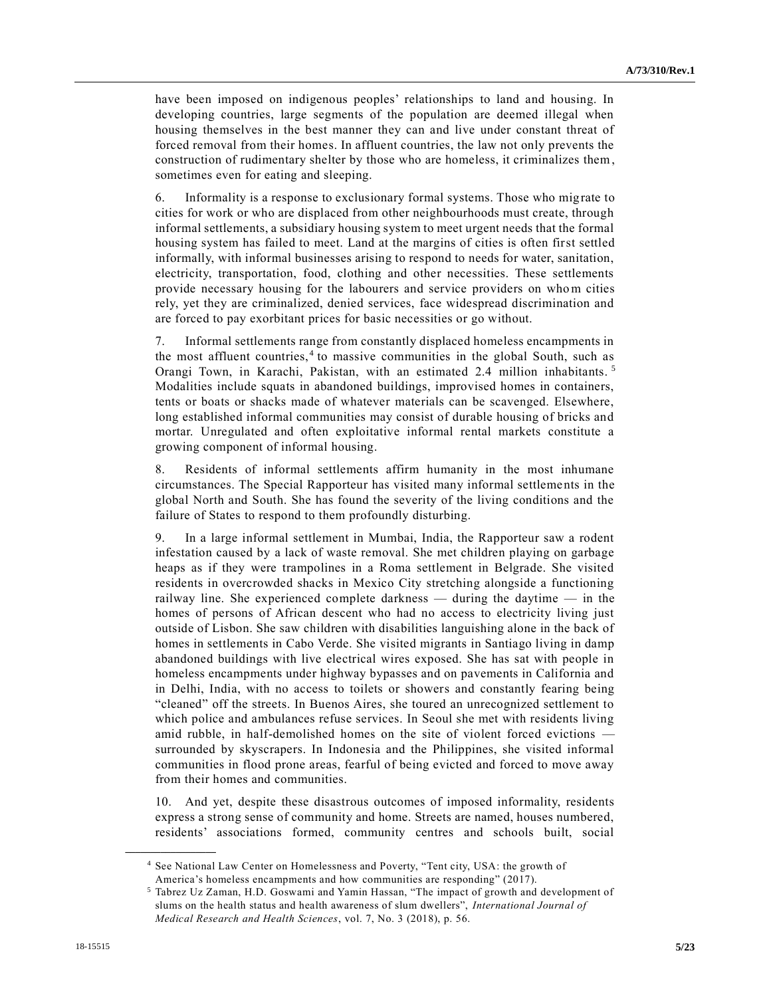have been imposed on indigenous peoples' relationships to land and housing. In developing countries, large segments of the population are deemed illegal when housing themselves in the best manner they can and live under constant threat of forced removal from their homes. In affluent countries, the law not only prevents the construction of rudimentary shelter by those who are homeless, it criminalizes them, sometimes even for eating and sleeping.

6. Informality is a response to exclusionary formal systems. Those who mig rate to cities for work or who are displaced from other neighbourhoods must create, through informal settlements, a subsidiary housing system to meet urgent needs that the formal housing system has failed to meet. Land at the margins of cities is often first settled informally, with informal businesses arising to respond to needs for water, sanitation, electricity, transportation, food, clothing and other necessities. These settlements provide necessary housing for the labourers and service providers on whom cities rely, yet they are criminalized, denied services, face widespread discrimination and are forced to pay exorbitant prices for basic necessities or go without.

7. Informal settlements range from constantly displaced homeless encampments in the most affluent countries,  $4$  to massive communities in the global South, such as Orangi Town, in Karachi, Pakistan, with an estimated 2.4 million inhabitants. <sup>5</sup> Modalities include squats in abandoned buildings, improvised homes in containers, tents or boats or shacks made of whatever materials can be scavenged. Elsewhere, long established informal communities may consist of durable housing of bricks and mortar. Unregulated and often exploitative informal rental markets constitute a growing component of informal housing.

8. Residents of informal settlements affirm humanity in the most inhumane circumstances. The Special Rapporteur has visited many informal settlements in the global North and South. She has found the severity of the living conditions and the failure of States to respond to them profoundly disturbing.

9. In a large informal settlement in Mumbai, India, the Rapporteur saw a rodent infestation caused by a lack of waste removal. She met children playing on garbage heaps as if they were trampolines in a Roma settlement in Belgrade. She visited residents in overcrowded shacks in Mexico City stretching alongside a functioning railway line. She experienced complete darkness — during the daytime — in the homes of persons of African descent who had no access to electricity living just outside of Lisbon. She saw children with disabilities languishing alone in the back of homes in settlements in Cabo Verde. She visited migrants in Santiago living in damp abandoned buildings with live electrical wires exposed. She has sat with people in homeless encampments under highway bypasses and on pavements in California and in Delhi, India, with no access to toilets or showers and constantly fearing being "cleaned" off the streets. In Buenos Aires, she toured an unrecognized settlement to which police and ambulances refuse services. In Seoul she met with residents living amid rubble, in half-demolished homes on the site of violent forced evictions surrounded by skyscrapers. In Indonesia and the Philippines, she visited informal communities in flood prone areas, fearful of being evicted and forced to move away from their homes and communities.

10. And yet, despite these disastrous outcomes of imposed informality, residents express a strong sense of community and home. Streets are named, houses numbered, residents' associations formed, community centres and schools built, social

<sup>4</sup> See National Law Center on Homelessness and Poverty, "Tent city, USA: the growth of America's homeless encampments and how communities are responding" (2017).

<sup>5</sup> Tabrez Uz Zaman, H.D. Goswami and Yamin Hassan, "The impact of growth and development of slums on the health status and health awareness of slum dwellers", *International Journal of Medical Research and Health Sciences*, vol. 7, No. 3 (2018), p. 56.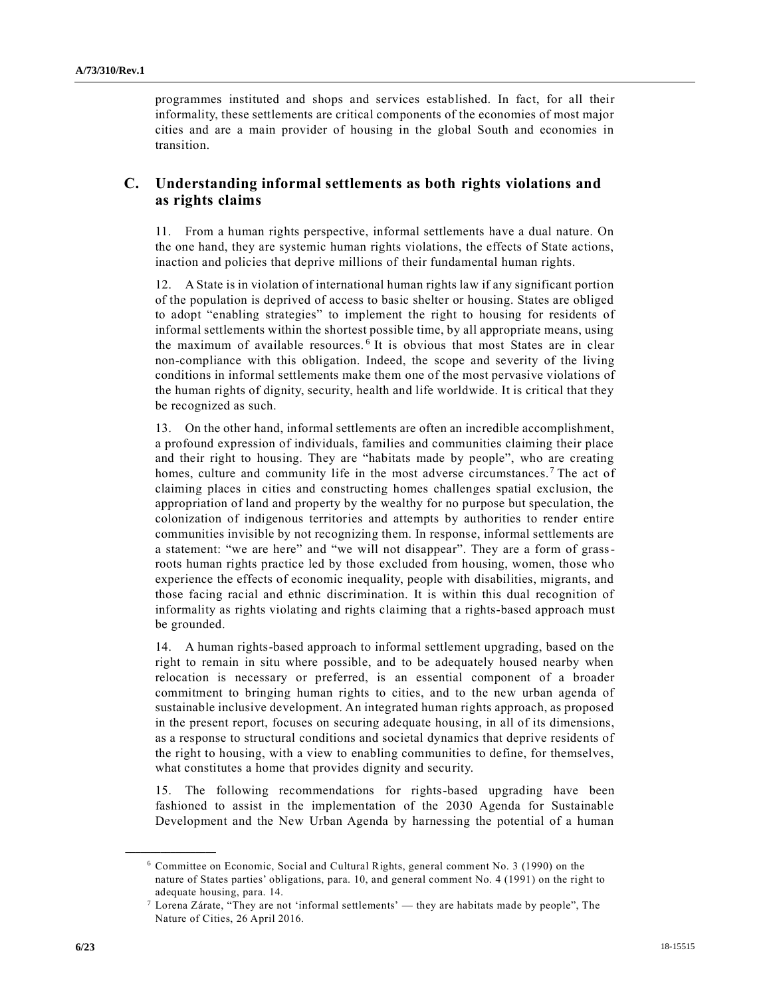programmes instituted and shops and services established. In fact, for all their informality, these settlements are critical components of the economies of most major cities and are a main provider of housing in the global South and economies in transition.

## **C. Understanding informal settlements as both rights violations and as rights claims**

11. From a human rights perspective, informal settlements have a dual nature. On the one hand, they are systemic human rights violations, the effects of State actions, inaction and policies that deprive millions of their fundamental human rights.

12. A State is in violation of international human rights law if any significant portion of the population is deprived of access to basic shelter or housing. States are obliged to adopt "enabling strategies" to implement the right to housing for residents of informal settlements within the shortest possible time, by all appropriate means, using the maximum of available resources. <sup>6</sup> It is obvious that most States are in clear non-compliance with this obligation. Indeed, the scope and severity of the living conditions in informal settlements make them one of the most pervasive violations of the human rights of dignity, security, health and life worldwide. It is critical that they be recognized as such.

13. On the other hand, informal settlements are often an incredible accomplishment, a profound expression of individuals, families and communities claiming their place and their right to housing. They are "habitats made by people", who are creating homes, culture and community life in the most adverse circumstances.<sup>7</sup> The act of claiming places in cities and constructing homes challenges spatial exclusion, the appropriation of land and property by the wealthy for no purpose but speculation, the colonization of indigenous territories and attempts by authorities to render entire communities invisible by not recognizing them. In response, informal settlements are a statement: "we are here" and "we will not disappear". They are a form of grassroots human rights practice led by those excluded from housing, women, those who experience the effects of economic inequality, people with disabilities, migrants, and those facing racial and ethnic discrimination. It is within this dual recognition of informality as rights violating and rights claiming that a rights-based approach must be grounded.

14. A human rights-based approach to informal settlement upgrading, based on the right to remain in situ where possible, and to be adequately housed nearby when relocation is necessary or preferred, is an essential component of a broader commitment to bringing human rights to cities, and to the new urban agenda of sustainable inclusive development. An integrated human rights approach, as proposed in the present report, focuses on securing adequate housing, in all of its dimensions, as a response to structural conditions and societal dynamics that deprive residents of the right to housing, with a view to enabling communities to define, for themselves, what constitutes a home that provides dignity and security.

15. The following recommendations for rights-based upgrading have been fashioned to assist in the implementation of the 2030 Agenda for Sustainable Development and the New Urban Agenda by harnessing the potential of a human

<sup>6</sup> Committee on Economic, Social and Cultural Rights, general comment No. 3 (1990) on the nature of States parties' obligations, para. 10, and general comment No. 4 (1991) on the right to adequate housing, para. 14.

 $^7$  Lorena Zárate, "They are not 'informal settlements' — they are habitats made by people", The Nature of Cities, 26 April 2016.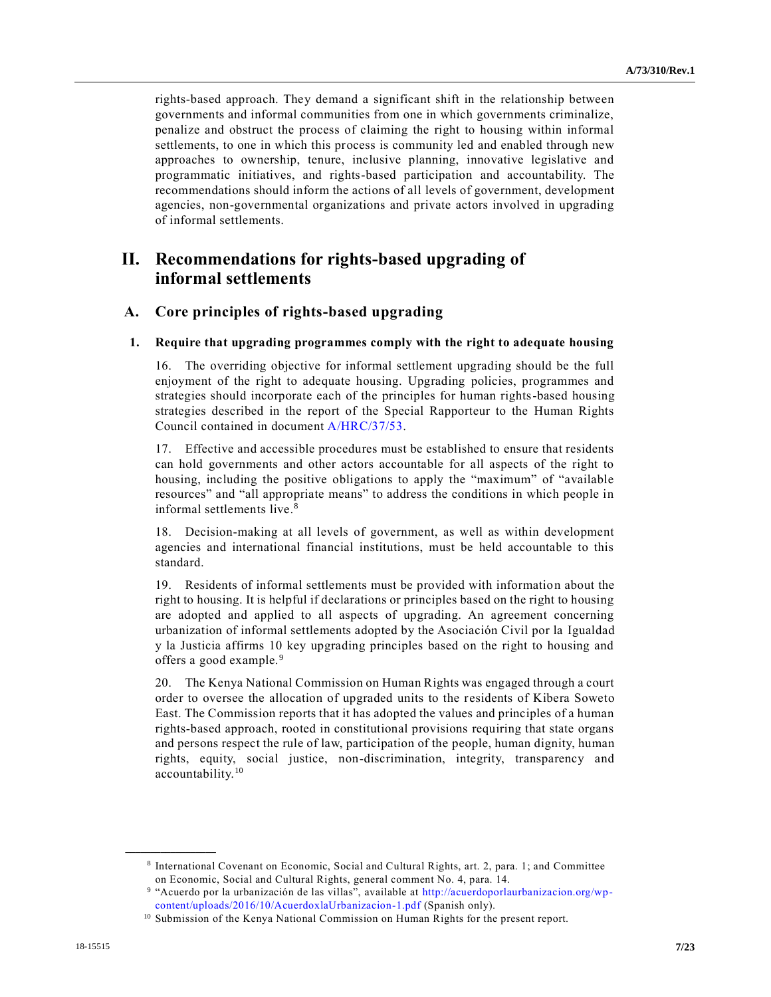rights-based approach. They demand a significant shift in the relationship between governments and informal communities from one in which governments criminalize, penalize and obstruct the process of claiming the right to housing within informal settlements, to one in which this process is community led and enabled through new approaches to ownership, tenure, inclusive planning, innovative legislative and programmatic initiatives, and rights-based participation and accountability. The recommendations should inform the actions of all levels of government, development agencies, non-governmental organizations and private actors involved in upgrading of informal settlements.

## **II. Recommendations for rights-based upgrading of informal settlements**

## **A. Core principles of rights-based upgrading**

#### **1. Require that upgrading programmes comply with the right to adequate housing**

16. The overriding objective for informal settlement upgrading should be the full enjoyment of the right to adequate housing. Upgrading policies, programmes and strategies should incorporate each of the principles for human rights-based housing strategies described in the report of the Special Rapporteur to the Human Rights Council contained in document [A/HRC/37/53.](https://undocs.org/A/HRC/37/53)

17. Effective and accessible procedures must be established to ensure that residents can hold governments and other actors accountable for all aspects of the right to housing, including the positive obligations to apply the "maximum" of "available resources" and "all appropriate means" to address the conditions in which people in informal settlements live.<sup>8</sup>

18. Decision-making at all levels of government, as well as within development agencies and international financial institutions, must be held accountable to this standard.

19. Residents of informal settlements must be provided with information about the right to housing. It is helpful if declarations or principles based on the right to housing are adopted and applied to all aspects of upgrading. An agreement concerning urbanization of informal settlements adopted by the Asociación Civil por la Igualdad y la Justicia affirms 10 key upgrading principles based on the right to housing and offers a good example.<sup>9</sup>

20. The Kenya National Commission on Human Rights was engaged through a court order to oversee the allocation of upgraded units to the residents of Kibera Soweto East. The Commission reports that it has adopted the values and principles of a human rights-based approach, rooted in constitutional provisions requiring that state organs and persons respect the rule of law, participation of the people, human dignity, human rights, equity, social justice, non-discrimination, integrity, transparency and accountability.<sup>10</sup>

<sup>8</sup> International Covenant on Economic, Social and Cultural Rights, art. 2, para. 1; and Committee on Economic, Social and Cultural Rights, general comment No. 4, para. 14.

<sup>9</sup> "Acuerdo por la urbanización de las villas", available at [http://acuerdoporlaurbanizacion.org/wp](http://acuerdoporlaurbanizacion.org/wp-content/uploads/2016/10/AcuerdoxlaUrbanizacion-1.pdf)[content/uploads/2016/10/AcuerdoxlaUrbanizacion-1.pdf](http://acuerdoporlaurbanizacion.org/wp-content/uploads/2016/10/AcuerdoxlaUrbanizacion-1.pdf) (Spanish only).

<sup>&</sup>lt;sup>10</sup> Submission of the Kenya National Commission on Human Rights for the present report.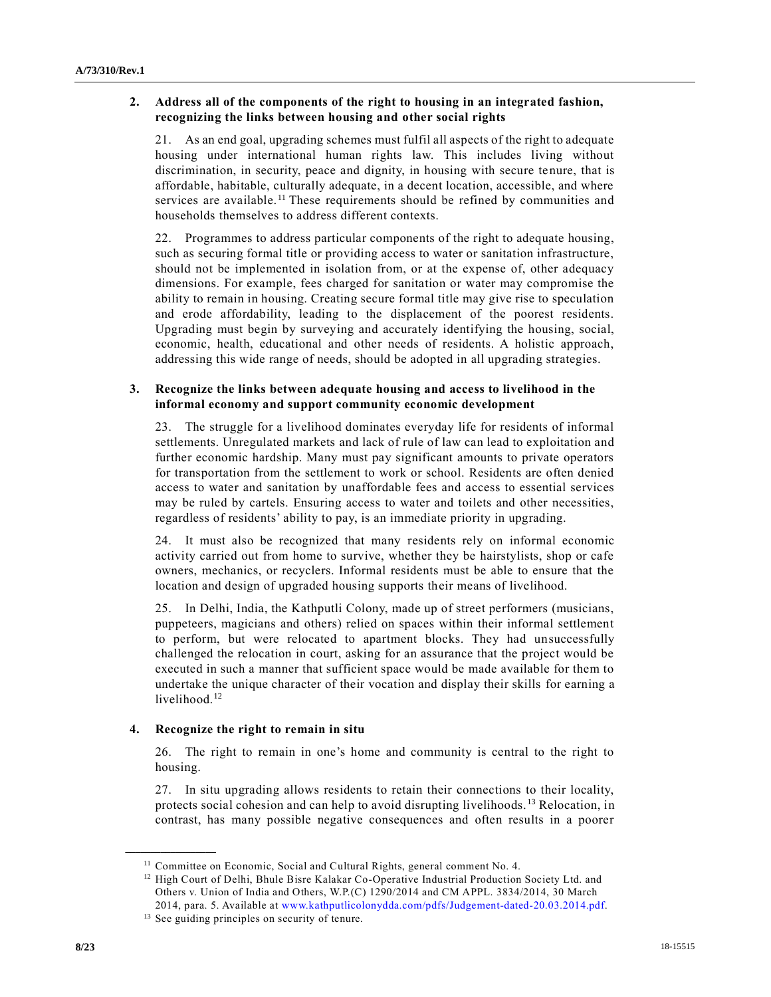## **2. Address all of the components of the right to housing in an integrated fashion, recognizing the links between housing and other social rights**

21. As an end goal, upgrading schemes must fulfil all aspects of the right to adequate housing under international human rights law. This includes living without discrimination, in security, peace and dignity, in housing with secure tenure, that is affordable, habitable, culturally adequate, in a decent location, accessible, and where services are available.<sup>11</sup> These requirements should be refined by communities and households themselves to address different contexts.

22. Programmes to address particular components of the right to adequate housing, such as securing formal title or providing access to water or sanitation infrastructure, should not be implemented in isolation from, or at the expense of, other adequacy dimensions. For example, fees charged for sanitation or water may compromise the ability to remain in housing. Creating secure formal title may give rise to speculation and erode affordability, leading to the displacement of the poorest residents. Upgrading must begin by surveying and accurately identifying the housing, social, economic, health, educational and other needs of residents. A holistic approach, addressing this wide range of needs, should be adopted in all upgrading strategies.

## **3. Recognize the links between adequate housing and access to livelihood in the informal economy and support community economic development**

23. The struggle for a livelihood dominates everyday life for residents of informal settlements. Unregulated markets and lack of rule of law can lead to exploitation and further economic hardship. Many must pay significant amounts to private operators for transportation from the settlement to work or school. Residents are often denied access to water and sanitation by unaffordable fees and access to essential services may be ruled by cartels. Ensuring access to water and toilets and other necessities, regardless of residents' ability to pay, is an immediate priority in upgrading.

24. It must also be recognized that many residents rely on informal economic activity carried out from home to survive, whether they be hairstylists, shop or cafe owners, mechanics, or recyclers. Informal residents must be able to ensure that the location and design of upgraded housing supports their means of livelihood.

25. In Delhi, India, the Kathputli Colony, made up of street performers (musicians, puppeteers, magicians and others) relied on spaces within their informal settlement to perform, but were relocated to apartment blocks. They had unsuccessfully challenged the relocation in court, asking for an assurance that the project would be executed in such a manner that sufficient space would be made available for them to undertake the unique character of their vocation and display their skills for earning a livelihood.<sup>12</sup>

## **4. Recognize the right to remain in situ**

26. The right to remain in one's home and community is central to the right to housing.

27. In situ upgrading allows residents to retain their connections to their locality, protects social cohesion and can help to avoid disrupting livelihoods. <sup>13</sup> Relocation, in contrast, has many possible negative consequences and often results in a poorer

<sup>&</sup>lt;sup>11</sup> Committee on Economic, Social and Cultural Rights, general comment No. 4.

<sup>&</sup>lt;sup>12</sup> High Court of Delhi, Bhule Bisre Kalakar Co-Operative Industrial Production Society Ltd. and Others v. Union of India and Others, W.P.(C) 1290/2014 and CM APPL. 3834/2014, 30 March 2014, para. 5. Available at [www.kathputlicolonydda.com/pdfs/Judgement-dated-20.03.2014.pdf.](http://www.kathputlicolonydda.com/pdfs/Judgement-dated-20.03.2014.pdf)

<sup>&</sup>lt;sup>13</sup> See guiding principles on security of tenure.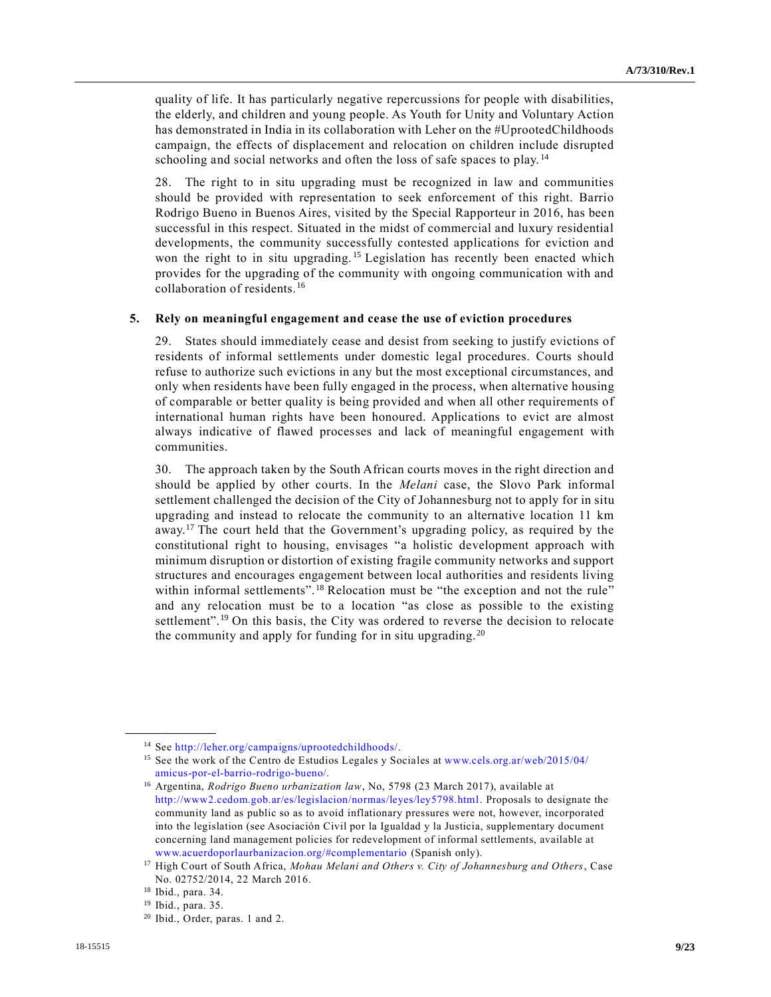quality of life. It has particularly negative repercussions for people with disabilities, the elderly, and children and young people. As Youth for Unity and Voluntary Action has demonstrated in India in its collaboration with Leher on the #UprootedChildhoods campaign, the effects of displacement and relocation on children include disrupted schooling and social networks and often the loss of safe spaces to play. <sup>14</sup>

28. The right to in situ upgrading must be recognized in law and communities should be provided with representation to seek enforcement of this right. Barrio Rodrigo Bueno in Buenos Aires, visited by the Special Rapporteur in 2016, has been successful in this respect. Situated in the midst of commercial and luxury residential developments, the community successfully contested applications for eviction and won the right to in situ upgrading.<sup>15</sup> Legislation has recently been enacted which provides for the upgrading of the community with ongoing communication with and collaboration of residents.<sup>16</sup>

#### **5. Rely on meaningful engagement and cease the use of eviction procedures**

29. States should immediately cease and desist from seeking to justify evictions of residents of informal settlements under domestic legal procedures. Courts should refuse to authorize such evictions in any but the most exceptional circumstances, and only when residents have been fully engaged in the process, when alternative housing of comparable or better quality is being provided and when all other requirements of international human rights have been honoured. Applications to evict are almost always indicative of flawed processes and lack of meaningful engagement with communities.

30. The approach taken by the South African courts moves in the right direction and should be applied by other courts. In the *Melani* case, the Slovo Park informal settlement challenged the decision of the City of Johannesburg not to apply for in situ upgrading and instead to relocate the community to an alternative location 11 km away.<sup>17</sup> The court held that the Government's upgrading policy, as required by the constitutional right to housing, envisages "a holistic development approach with minimum disruption or distortion of existing fragile community networks and support structures and encourages engagement between local authorities and residents living within informal settlements".<sup>18</sup> Relocation must be "the exception and not the rule" and any relocation must be to a location "as close as possible to the existing settlement".<sup>19</sup> On this basis, the City was ordered to reverse the decision to relocate the community and apply for funding for in situ upgrading.<sup>20</sup>

<sup>14</sup> See [http://leher.org/campaigns/uprootedchildhoods/.](http://leher.org/campaigns/uprootedchildhoods/)

<sup>&</sup>lt;sup>15</sup> See the work of the Centro de Estudios Legales y Sociales at [www.cels.org.ar/web/2015/04/](http://www.cels.org.ar/web/2015/04/amicus-por-el-barrio-rodrigo-bueno/) [amicus-por-el-barrio-rodrigo-bueno/.](http://www.cels.org.ar/web/2015/04/amicus-por-el-barrio-rodrigo-bueno/)

<sup>16</sup> Argentina, *Rodrigo Bueno urbanization law*, No, 5798 (23 March 2017), available at [http://www2.cedom.gob.ar/es/legislacion/normas/leyes/ley5798.html.](http://www2.cedom.gob.ar/es/legislacion/normas/leyes/ley5798.html) Proposals to designate the community land as public so as to avoid inflationary pressures were not, however, incorporated into the legislation (see Asociación Civil por la Igualdad y la Justicia, supplementary document concerning land management policies for redevelopment of informal settlements, available at [www.acuerdoporlaurbanizacion.org/#complementario](http://www.acuerdoporlaurbanizacion.org/#complementario) (Spanish only).

<sup>17</sup> High Court of South Africa, *Mohau Melani and Others v. City of Johannesburg and Others*, Case No. 02752/2014, 22 March 2016.

<sup>18</sup> Ibid., para. 34.

<sup>19</sup> Ibid., para. 35.

<sup>20</sup> Ibid., Order, paras. 1 and 2.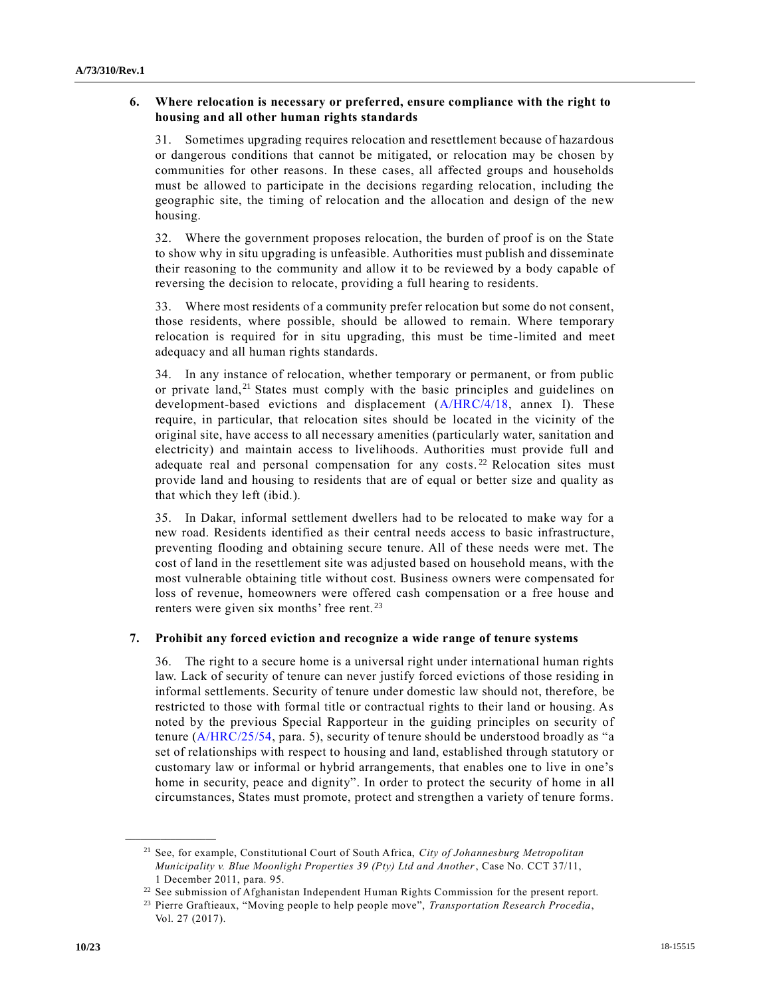## **6. Where relocation is necessary or preferred, ensure compliance with the right to housing and all other human rights standards**

31. Sometimes upgrading requires relocation and resettlement because of hazardous or dangerous conditions that cannot be mitigated, or relocation may be chosen by communities for other reasons. In these cases, all affected groups and households must be allowed to participate in the decisions regarding relocation, including the geographic site, the timing of relocation and the allocation and design of the new housing.

32. Where the government proposes relocation, the burden of proof is on the State to show why in situ upgrading is unfeasible. Authorities must publish and disseminate their reasoning to the community and allow it to be reviewed by a body capable of reversing the decision to relocate, providing a full hearing to residents.

33. Where most residents of a community prefer relocation but some do not consent, those residents, where possible, should be allowed to remain. Where temporary relocation is required for in situ upgrading, this must be time-limited and meet adequacy and all human rights standards.

34. In any instance of relocation, whether temporary or permanent, or from public or private land,<sup>21</sup> States must comply with the basic principles and guidelines on development-based evictions and displacement [\(A/HRC/4/18,](https://undocs.org/A/HRC/4/18) annex I). These require, in particular, that relocation sites should be located in the vicinity of the original site, have access to all necessary amenities (particularly water, sanitation and electricity) and maintain access to livelihoods. Authorities must provide full and adequate real and personal compensation for any costs.<sup>22</sup> Relocation sites must provide land and housing to residents that are of equal or better size and quality as that which they left (ibid.).

35. In Dakar, informal settlement dwellers had to be relocated to make way for a new road. Residents identified as their central needs access to basic infrastructure, preventing flooding and obtaining secure tenure. All of these needs were met. The cost of land in the resettlement site was adjusted based on household means, with the most vulnerable obtaining title without cost. Business owners were compensated for loss of revenue, homeowners were offered cash compensation or a free house and renters were given six months' free rent. <sup>23</sup>

#### **7. Prohibit any forced eviction and recognize a wide range of tenure systems**

36. The right to a secure home is a universal right under international human rights law. Lack of security of tenure can never justify forced evictions of those residing in informal settlements. Security of tenure under domestic law should not, therefore, be restricted to those with formal title or contractual rights to their land or housing. As noted by the previous Special Rapporteur in the guiding principles on security of tenure [\(A/HRC/25/54,](https://undocs.org/A/HRC/25/54) para. 5), security of tenure should be understood broadly as "a set of relationships with respect to housing and land, established through statutory or customary law or informal or hybrid arrangements, that enables one to live in one's home in security, peace and dignity". In order to protect the security of home in all circumstances, States must promote, protect and strengthen a variety of tenure forms.

<sup>21</sup> See, for example, Constitutional Court of South Africa, *City of Johannesburg Metropolitan Municipality v. Blue Moonlight Properties 39 (Pty) Ltd and Another*, Case No. CCT 37/11, 1 December 2011, para. 95.

<sup>&</sup>lt;sup>22</sup> See submission of Afghanistan Independent Human Rights Commission for the present report.

<sup>23</sup> Pierre Graftieaux, "Moving people to help people move", *Transportation Research Procedia*, Vol. 27 (2017).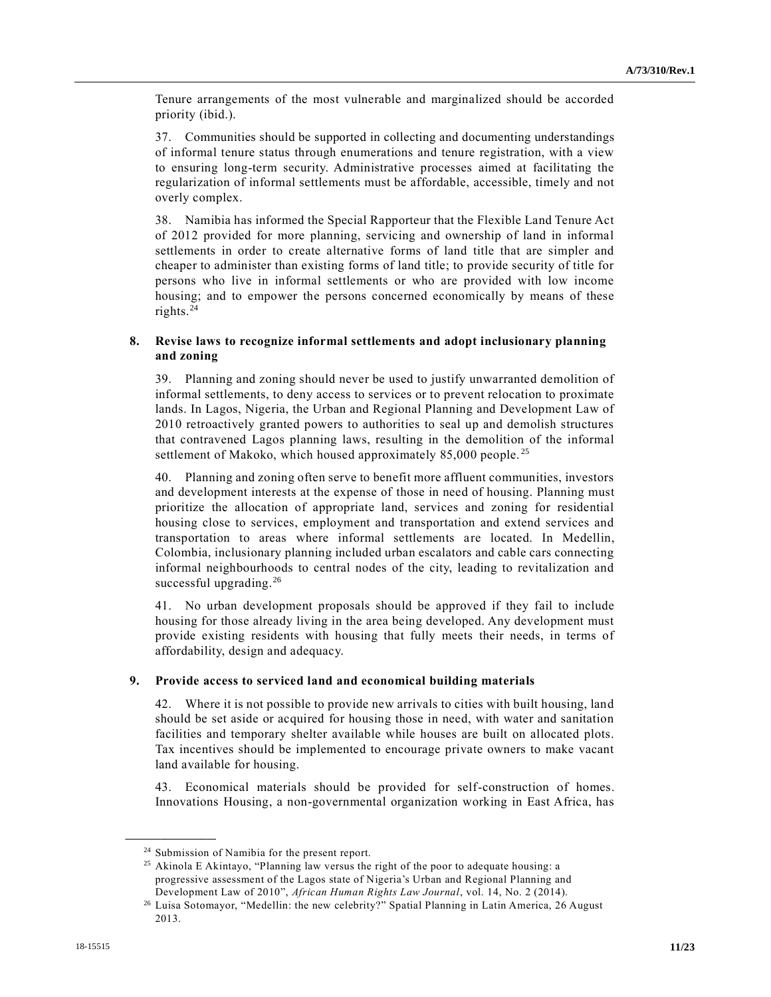Tenure arrangements of the most vulnerable and marginalized should be accorded priority (ibid.).

37. Communities should be supported in collecting and documenting understandings of informal tenure status through enumerations and tenure registration, with a view to ensuring long-term security. Administrative processes aimed at facilitating the regularization of informal settlements must be affordable, accessible, timely and not overly complex.

38. Namibia has informed the Special Rapporteur that the Flexible Land Tenure Act of 2012 provided for more planning, servicing and ownership of land in informal settlements in order to create alternative forms of land title that are simpler and cheaper to administer than existing forms of land title; to provide security of title for persons who live in informal settlements or who are provided with low income housing; and to empower the persons concerned economically by means of these rights.<sup>24</sup>

## **8. Revise laws to recognize informal settlements and adopt inclusionary planning and zoning**

39. Planning and zoning should never be used to justify unwarranted demolition of informal settlements, to deny access to services or to prevent relocation to proximate lands. In Lagos, Nigeria, the Urban and Regional Planning and Development Law of 2010 retroactively granted powers to authorities to seal up and demolish structures that contravened Lagos planning laws, resulting in the demolition of the informal settlement of Makoko, which housed approximately  $85,000$  people.<sup>25</sup>

40. Planning and zoning often serve to benefit more affluent communities, investors and development interests at the expense of those in need of housing. Planning must prioritize the allocation of appropriate land, services and zoning for residential housing close to services, employment and transportation and extend services and transportation to areas where informal settlements are located. In Medellin, Colombia, inclusionary planning included urban escalators and cable cars connecting informal neighbourhoods to central nodes of the city, leading to revitalization and successful upgrading.<sup>26</sup>

41. No urban development proposals should be approved if they fail to include housing for those already living in the area being developed. Any development must provide existing residents with housing that fully meets their needs, in terms of affordability, design and adequacy.

#### **9. Provide access to serviced land and economical building materials**

42. Where it is not possible to provide new arrivals to cities with built housing, land should be set aside or acquired for housing those in need, with water and sanitation facilities and temporary shelter available while houses are built on allocated plots. Tax incentives should be implemented to encourage private owners to make vacant land available for housing.

43. Economical materials should be provided for self-construction of homes. Innovations Housing, a non-governmental organization working in East Africa, has

<sup>&</sup>lt;sup>24</sup> Submission of Namibia for the present report.

<sup>&</sup>lt;sup>25</sup> Akinola E Akintayo, "Planning law versus the right of the poor to adequate housing: a progressive assessment of the Lagos state of Nigeria's Urban and Regional Planning and Development Law of 2010", *African Human Rights Law Journal*, vol. 14, No. 2 (2014).

<sup>&</sup>lt;sup>26</sup> Luisa Sotomayor, "Medellin: the new celebrity?" Spatial Planning in Latin America, 26 August 2013.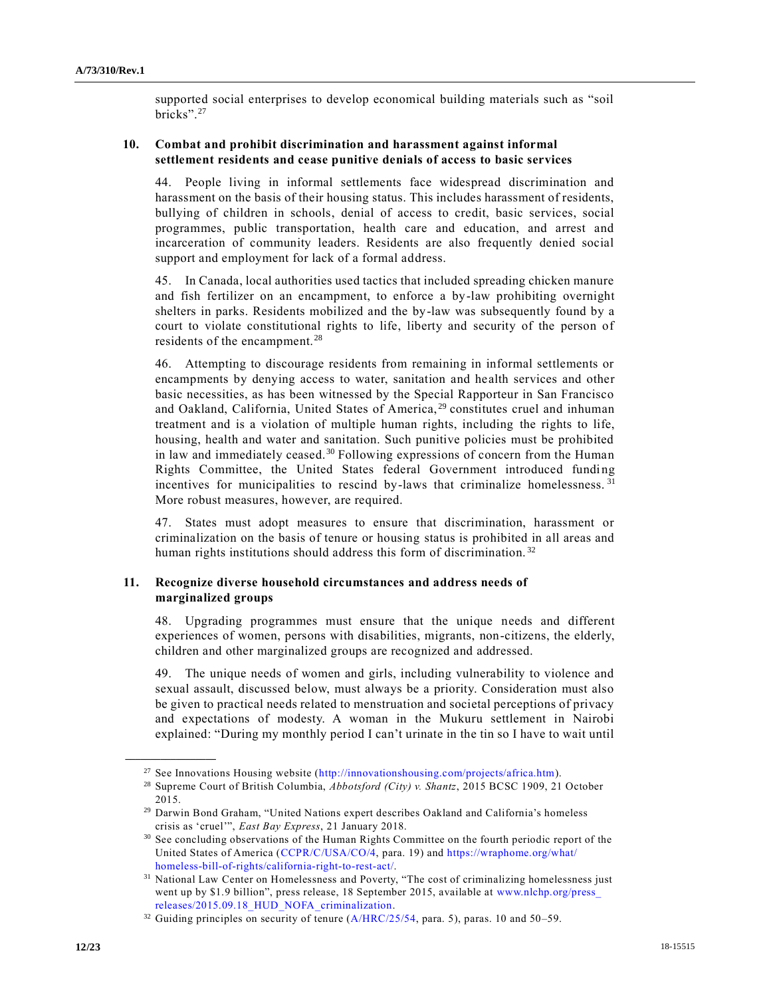supported social enterprises to develop economical building materials such as "soil bricks".<sup>27</sup>

## **10. Combat and prohibit discrimination and harassment against informal settlement residents and cease punitive denials of access to basic services**

44. People living in informal settlements face widespread discrimination and harassment on the basis of their housing status. This includes harassment of residents, bullying of children in schools, denial of access to credit, basic services, social programmes, public transportation, health care and education, and arrest and incarceration of community leaders. Residents are also frequently denied social support and employment for lack of a formal address.

45. In Canada, local authorities used tactics that included spreading chicken manure and fish fertilizer on an encampment, to enforce a by-law prohibiting overnight shelters in parks. Residents mobilized and the by-law was subsequently found by a court to violate constitutional rights to life, liberty and security of the person of residents of the encampment. <sup>28</sup>

46. Attempting to discourage residents from remaining in informal settlements or encampments by denying access to water, sanitation and health services and other basic necessities, as has been witnessed by the Special Rapporteur in San Francisco and Oakland, California, United States of America,<sup>29</sup> constitutes cruel and inhuman treatment and is a violation of multiple human rights, including the rights to life, housing, health and water and sanitation. Such punitive policies must be prohibited in law and immediately ceased. <sup>30</sup> Following expressions of concern from the Human Rights Committee, the United States federal Government introduced funding incentives for municipalities to rescind by-laws that criminalize homelessness.<sup>31</sup> More robust measures, however, are required.

47. States must adopt measures to ensure that discrimination, harassment or criminalization on the basis of tenure or housing status is prohibited in all areas and human rights institutions should address this form of discrimination.<sup>32</sup>

### **11. Recognize diverse household circumstances and address needs of marginalized groups**

48. Upgrading programmes must ensure that the unique needs and different experiences of women, persons with disabilities, migrants, non-citizens, the elderly, children and other marginalized groups are recognized and addressed.

49. The unique needs of women and girls, including vulnerability to violence and sexual assault, discussed below, must always be a priority. Consideration must also be given to practical needs related to menstruation and societal perceptions of privacy and expectations of modesty. A woman in the Mukuru settlement in Nairobi explained: "During my monthly period I can't urinate in the tin so I have to wait until

<sup>&</sup>lt;sup>27</sup> See Innovations Housing website [\(http://innovationshousing.com/projects/africa.htm\)](http://innovationshousing.com/projects/africa.htm).

<sup>28</sup> Supreme Court of British Columbia, *Abbotsford (City) v. Shantz*, 2015 BCSC 1909, 21 October 2015.

<sup>29</sup> Darwin Bond Graham, "United Nations expert describes Oakland and California's homeless crisis as 'cruel'", *East Bay Express*, 21 January 2018.

<sup>&</sup>lt;sup>30</sup> See concluding observations of the Human Rights Committee on the fourth periodic report of the United States of America [\(CCPR/C/USA/CO/4,](https://undocs.org/CCPR/C/USA/CO/4) para. 19) and [https://wraphome.org/what/](https://wraphome.org/what/homeless-bill-of-rights/california-right-to-rest-act/) [homeless-bill-of-rights/california-right-to-rest-act/.](https://wraphome.org/what/homeless-bill-of-rights/california-right-to-rest-act/)

<sup>&</sup>lt;sup>31</sup> National Law Center on Homelessness and Poverty, "The cost of criminalizing homelessness just went up by \$1.9 billion", press release, 18 September 2015, available at [www.nlchp.org/press\\_](http://www.nlchp.org/press_releases/2015.09.18_HUD_NOFA_criminalization) [releases/2015.09.18\\_HUD\\_NOFA\\_criminalization.](http://www.nlchp.org/press_releases/2015.09.18_HUD_NOFA_criminalization)

 $32$  Guiding principles on security of tenure [\(A/HRC/25/54,](https://undocs.org/A/HRC/25/54) para. 5), paras. 10 and 50-59.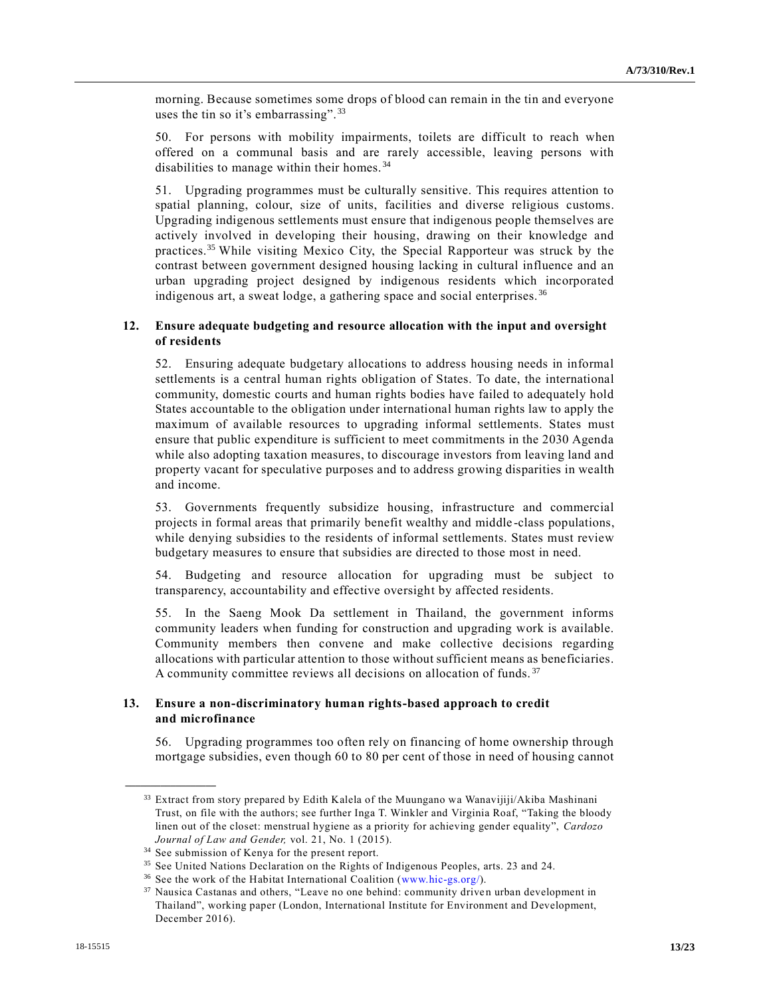morning. Because sometimes some drops of blood can remain in the tin and everyone uses the tin so it's embarrassing".<sup>33</sup>

50. For persons with mobility impairments, toilets are difficult to reach when offered on a communal basis and are rarely accessible, leaving persons with disabilities to manage within their homes. <sup>34</sup>

51. Upgrading programmes must be culturally sensitive. This requires attention to spatial planning, colour, size of units, facilities and diverse religious customs. Upgrading indigenous settlements must ensure that indigenous people themselves are actively involved in developing their housing, drawing on their knowledge and practices.<sup>35</sup> While visiting Mexico City, the Special Rapporteur was struck by the contrast between government designed housing lacking in cultural influence and an urban upgrading project designed by indigenous residents which incorporated indigenous art, a sweat lodge, a gathering space and social enterprises. <sup>36</sup>

### **12. Ensure adequate budgeting and resource allocation with the input and oversight of residents**

52. Ensuring adequate budgetary allocations to address housing needs in informal settlements is a central human rights obligation of States. To date, the international community, domestic courts and human rights bodies have failed to adequately hold States accountable to the obligation under international human rights law to apply the maximum of available resources to upgrading informal settlements. States must ensure that public expenditure is sufficient to meet commitments in the 2030 Agenda while also adopting taxation measures, to discourage investors from leaving land and property vacant for speculative purposes and to address growing disparities in wealth and income.

53. Governments frequently subsidize housing, infrastructure and commercial projects in formal areas that primarily benefit wealthy and middle -class populations, while denying subsidies to the residents of informal settlements. States must review budgetary measures to ensure that subsidies are directed to those most in need.

54. Budgeting and resource allocation for upgrading must be subject to transparency, accountability and effective oversight by affected residents.

55. In the Saeng Mook Da settlement in Thailand, the government informs community leaders when funding for construction and upgrading work is available. Community members then convene and make collective decisions regarding allocations with particular attention to those without sufficient means as beneficiaries. A community committee reviews all decisions on allocation of funds.<sup>37</sup>

## **13. Ensure a non-discriminatory human rights-based approach to credit and microfinance**

56. Upgrading programmes too often rely on financing of home ownership through mortgage subsidies, even though 60 to 80 per cent of those in need of housing cannot

<sup>&</sup>lt;sup>33</sup> Extract from story prepared by Edith Kalela of the Muungano wa Wanavijiji/Akiba Mashinani Trust, on file with the authors; see further Inga T. Winkler and Virginia Roaf, "Taking the bloody linen out of the closet: menstrual hygiene as a priority for achieving gender equality", *Cardozo Journal of Law and Gender,* vol. 21, No. 1 (2015).

<sup>&</sup>lt;sup>34</sup> See submission of Kenya for the present report.

<sup>35</sup> See United Nations Declaration on the Rights of Indigenous Peoples, arts. 23 and 24.

<sup>36</sup> See the work of the Habitat International Coalition [\(www.hic-gs.org/\)](http://www.hic-gs.org/).

<sup>&</sup>lt;sup>37</sup> Nausica Castanas and others, "Leave no one behind: community driven urban development in Thailand", working paper (London, International Institute for Environment and Development, December 2016).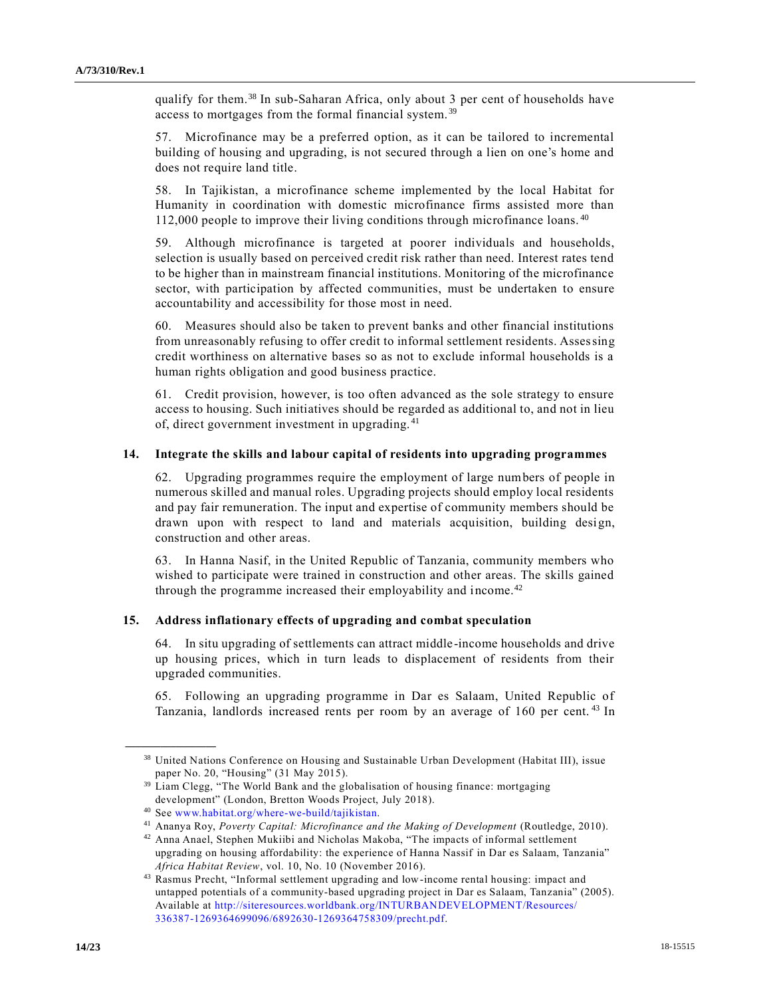qualify for them.<sup>38</sup> In sub-Saharan Africa, only about 3 per cent of households have access to mortgages from the formal financial system. <sup>39</sup>

57. Microfinance may be a preferred option, as it can be tailored to incremental building of housing and upgrading, is not secured through a lien on one's home and does not require land title.

58. In Tajikistan, a microfinance scheme implemented by the local Habitat for Humanity in coordination with domestic microfinance firms assisted more than 112,000 people to improve their living conditions through microfinance loans.<sup>40</sup>

59. Although microfinance is targeted at poorer individuals and households, selection is usually based on perceived credit risk rather than need. Interest rates tend to be higher than in mainstream financial institutions. Monitoring of the microfinance sector, with participation by affected communities, must be undertaken to ensure accountability and accessibility for those most in need.

60. Measures should also be taken to prevent banks and other financial institutions from unreasonably refusing to offer credit to informal settlement residents. Assessing credit worthiness on alternative bases so as not to exclude informal households is a human rights obligation and good business practice.

61. Credit provision, however, is too often advanced as the sole strategy to ensure access to housing. Such initiatives should be regarded as additional to, and not in lieu of, direct government investment in upgrading. <sup>41</sup>

#### **14. Integrate the skills and labour capital of residents into upgrading programmes**

62. Upgrading programmes require the employment of large numbers of people in numerous skilled and manual roles. Upgrading projects should employ local residents and pay fair remuneration. The input and expertise of community members should be drawn upon with respect to land and materials acquisition, building design, construction and other areas.

63. In Hanna Nasif, in the United Republic of Tanzania, community members who wished to participate were trained in construction and other areas. The skills gained through the programme increased their employability and income.<sup>42</sup>

#### **15. Address inflationary effects of upgrading and combat speculation**

64. In situ upgrading of settlements can attract middle-income households and drive up housing prices, which in turn leads to displacement of residents from their upgraded communities.

65. Following an upgrading programme in Dar es Salaam, United Republic of Tanzania, landlords increased rents per room by an average of 160 per cent.<sup>43</sup> In

<sup>38</sup> United Nations Conference on Housing and Sustainable Urban Development (Habitat III), issue paper No. 20, "Housing" (31 May 2015).

<sup>&</sup>lt;sup>39</sup> Liam Clegg, "The World Bank and the globalisation of housing finance: mortgaging development" (London, Bretton Woods Project, July 2018).

<sup>40</sup> See [www.habitat.org/where-we-build/tajikistan.](http://www.habitat.org/where-we-build/tajikistan)

<sup>41</sup> Ananya Roy, *Poverty Capital: Microfinance and the Making of Development* (Routledge, 2010).

<sup>42</sup> Anna Anael, Stephen Mukiibi and Nicholas Makoba, "The impacts of informal settlement upgrading on housing affordability: the experience of Hanna Nassif in Dar es Salaam, Tanzania" *Africa Habitat Review*, vol. 10, No. 10 (November 2016).

<sup>43</sup> Rasmus Precht, "Informal settlement upgrading and low-income rental housing: impact and untapped potentials of a community-based upgrading project in Dar es Salaam, Tanzania" (2005). Available at [http://siteresources.worldbank.org/INTURBANDEVELOPMENT/Resources/](http://siteresources.worldbank.org/INTURBANDEVELOPMENT/Resources/%20336387-1269364699096/6892630-1269364758309/precht.pdf)  [336387-1269364699096/6892630-1269364758309/precht.pdf.](http://siteresources.worldbank.org/INTURBANDEVELOPMENT/Resources/%20336387-1269364699096/6892630-1269364758309/precht.pdf)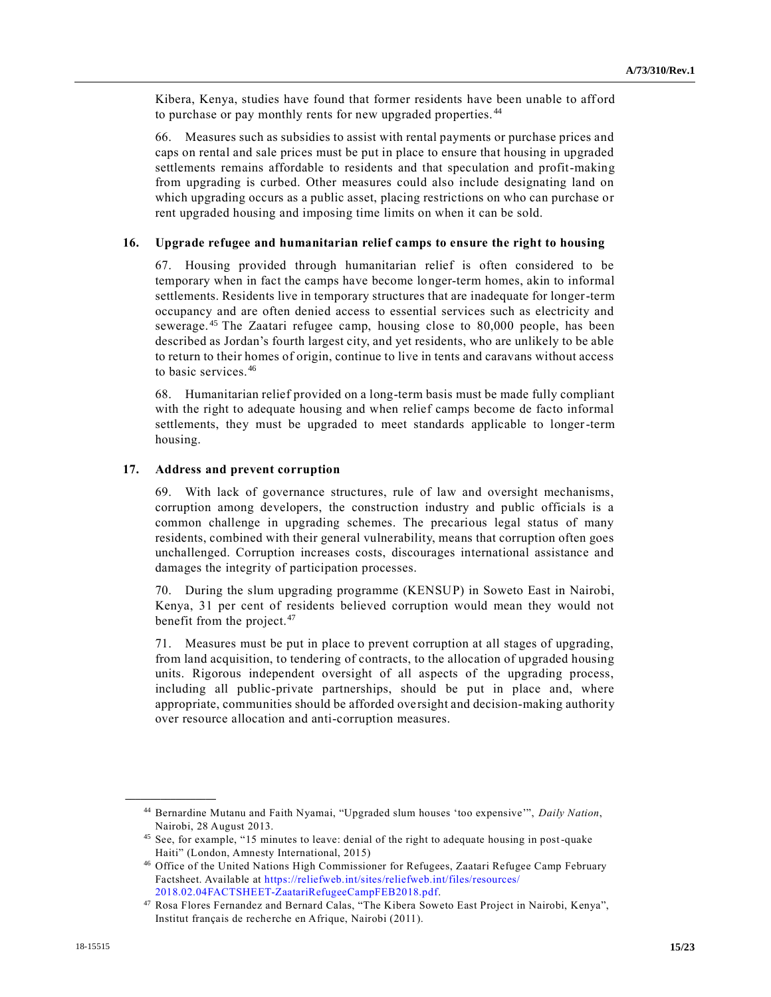Kibera, Kenya, studies have found that former residents have been unable to afford to purchase or pay monthly rents for new upgraded properties. <sup>44</sup>

66. Measures such as subsidies to assist with rental payments or purchase prices and caps on rental and sale prices must be put in place to ensure that housing in upgraded settlements remains affordable to residents and that speculation and profit-making from upgrading is curbed. Other measures could also include designating land on which upgrading occurs as a public asset, placing restrictions on who can purchase or rent upgraded housing and imposing time limits on when it can be sold.

#### **16. Upgrade refugee and humanitarian relief camps to ensure the right to housing**

67. Housing provided through humanitarian relief is often considered to be temporary when in fact the camps have become longer-term homes, akin to informal settlements. Residents live in temporary structures that are inadequate for longer-term occupancy and are often denied access to essential services such as electricity and sewerage.<sup>45</sup> The Zaatari refugee camp, housing close to 80,000 people, has been described as Jordan's fourth largest city, and yet residents, who are unlikely to be able to return to their homes of origin, continue to live in tents and caravans without access to basic services.<sup>46</sup>

68. Humanitarian relief provided on a long-term basis must be made fully compliant with the right to adequate housing and when relief camps become de facto informal settlements, they must be upgraded to meet standards applicable to longer-term housing.

#### **17. Address and prevent corruption**

69. With lack of governance structures, rule of law and oversight mechanisms, corruption among developers, the construction industry and public officials is a common challenge in upgrading schemes. The precarious legal status of many residents, combined with their general vulnerability, means that corruption often goes unchallenged. Corruption increases costs, discourages international assistance and damages the integrity of participation processes.

70. During the slum upgrading programme (KENSUP) in Soweto East in Nairobi, Kenya, 31 per cent of residents believed corruption would mean they would not benefit from the project. $47$ 

71. Measures must be put in place to prevent corruption at all stages of upgrading, from land acquisition, to tendering of contracts, to the allocation of upgraded housing units. Rigorous independent oversight of all aspects of the upgrading process, including all public-private partnerships, should be put in place and, where appropriate, communities should be afforded oversight and decision-making authority over resource allocation and anti-corruption measures.

<sup>44</sup> Bernardine Mutanu and Faith Nyamai, "Upgraded slum houses 'too expensive'", *Daily Nation*, Nairobi, 28 August 2013.

<sup>45</sup> See, for example, "15 minutes to leave: denial of the right to adequate housing in post-quake Haiti" (London, Amnesty International, 2015)

<sup>46</sup> Office of the United Nations High Commissioner for Refugees, Zaatari Refugee Camp February Factsheet. Available at [https://reliefweb.int/sites/reliefweb.int/files/resources/](https://reliefweb.int/sites/reliefweb.int/files/resources/%202018.02.04FACTSHEET-ZaatariRefugeeCampFEB2018.pdf)  [2018.02.04FACTSHEET-ZaatariRefugeeCampFEB2018.pdf.](https://reliefweb.int/sites/reliefweb.int/files/resources/%202018.02.04FACTSHEET-ZaatariRefugeeCampFEB2018.pdf)

<sup>47</sup> Rosa Flores Fernandez and Bernard Calas, "The Kibera Soweto East Project in Nairobi, Kenya", Institut français de recherche en Afrique, Nairobi (2011).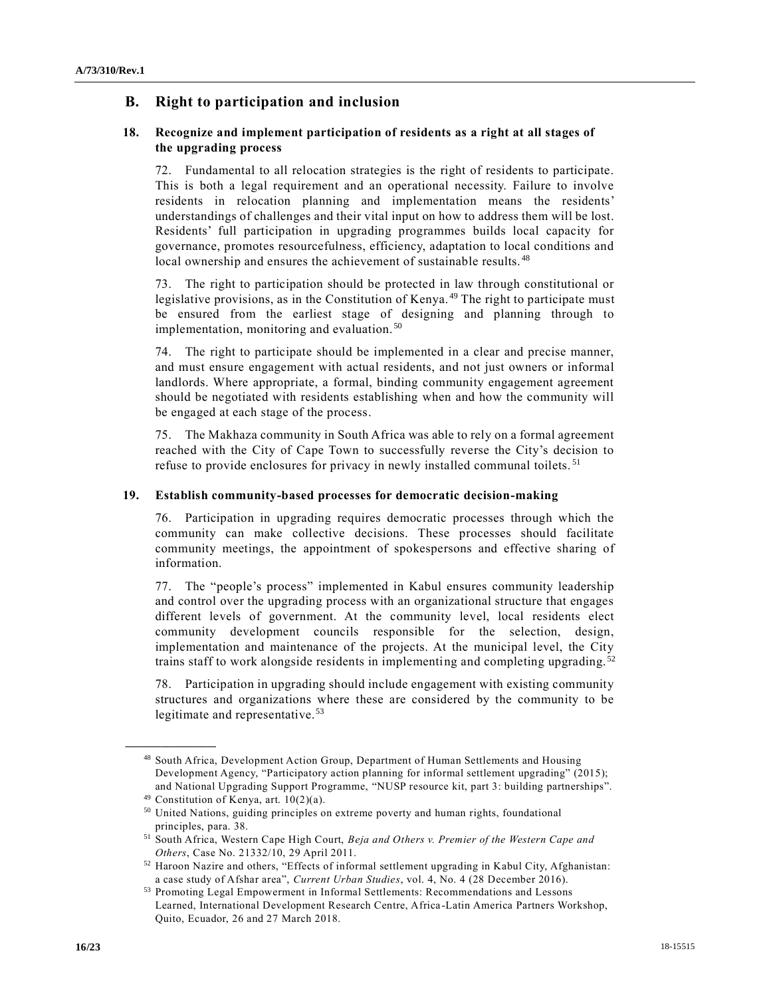## **B. Right to participation and inclusion**

## **18. Recognize and implement participation of residents as a right at all stages of the upgrading process**

72. Fundamental to all relocation strategies is the right of residents to participate. This is both a legal requirement and an operational necessity. Failure to involve residents in relocation planning and implementation means the residents' understandings of challenges and their vital input on how to address them will be lost. Residents' full participation in upgrading programmes builds local capacity for governance, promotes resourcefulness, efficiency, adaptation to local conditions and local ownership and ensures the achievement of sustainable results.<sup>48</sup>

73. The right to participation should be protected in law through constitutional or legislative provisions, as in the Constitution of Kenya.<sup>49</sup> The right to participate must be ensured from the earliest stage of designing and planning through to implementation, monitoring and evaluation. <sup>50</sup>

74. The right to participate should be implemented in a clear and precise manner, and must ensure engagement with actual residents, and not just owners or informal landlords. Where appropriate, a formal, binding community engagement agreement should be negotiated with residents establishing when and how the community will be engaged at each stage of the process.

75. The Makhaza community in South Africa was able to rely on a formal agreement reached with the City of Cape Town to successfully reverse the City's decision to refuse to provide enclosures for privacy in newly installed communal toilets. <sup>51</sup>

## **19. Establish community-based processes for democratic decision-making**

76. Participation in upgrading requires democratic processes through which the community can make collective decisions. These processes should facilitate community meetings, the appointment of spokespersons and effective sharing of information.

77. The "people's process" implemented in Kabul ensures community leadership and control over the upgrading process with an organizational structure that engages different levels of government. At the community level, local residents elect community development councils responsible for the selection, design, implementation and maintenance of the projects. At the municipal level, the City trains staff to work alongside residents in implementing and completing upgrading. <sup>52</sup>

78. Participation in upgrading should include engagement with existing community structures and organizations where these are considered by the community to be legitimate and representative. <sup>53</sup>

<sup>48</sup> South Africa, Development Action Group, Department of Human Settlements and Housing Development Agency, "Participatory action planning for informal settlement upgrading" (2015); and National Upgrading Support Programme, "NUSP resource kit, part 3: building partnerships".

<sup>49</sup> Constitution of Kenya, art. 10(2)(a).

<sup>50</sup> United Nations, guiding principles on extreme poverty and human rights, foundational principles, para. 38.

<sup>51</sup> South Africa, Western Cape High Court, *Beja and Others v. Premier of the Western Cape and Others*, Case No. 21332/10, 29 April 2011.

<sup>52</sup> Haroon Nazire and others, "Effects of informal settlement upgrading in Kabul City, Afghanistan: a case study of Afshar area", *Current Urban Studies*, vol. 4, No. 4 (28 December 2016).

<sup>53</sup> Promoting Legal Empowerment in Informal Settlements: Recommendations and Lessons Learned, International Development Research Centre, Africa -Latin America Partners Workshop, Quito, Ecuador, 26 and 27 March 2018.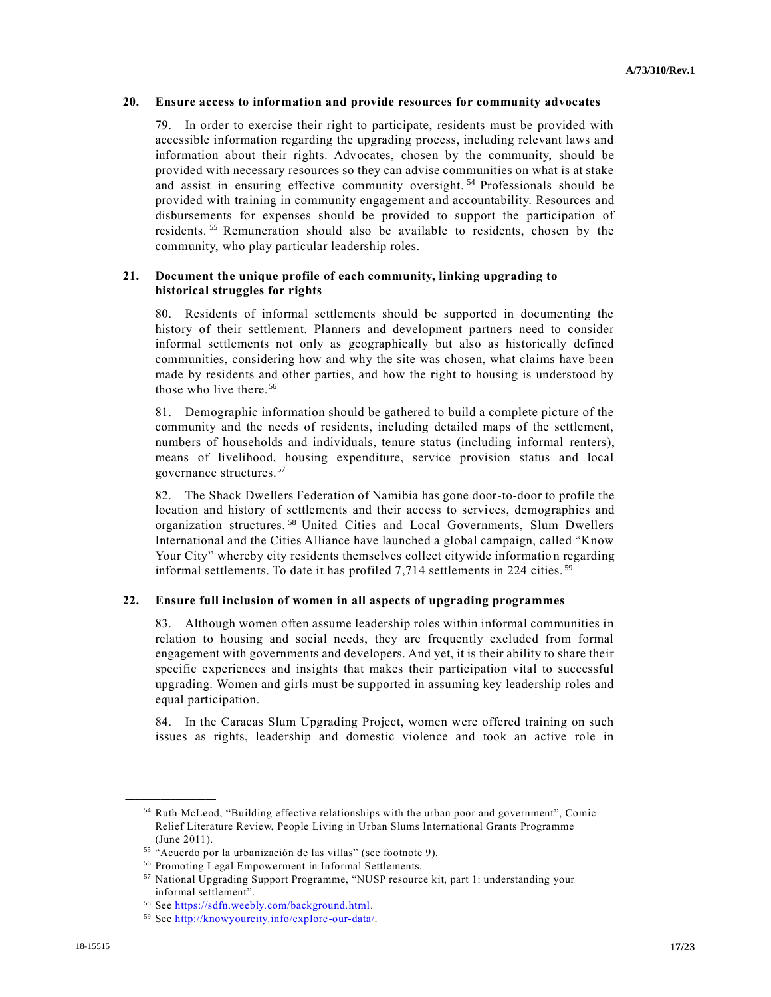#### **20. Ensure access to information and provide resources for community advocates**

79. In order to exercise their right to participate, residents must be provided with accessible information regarding the upgrading process, including relevant laws and information about their rights. Advocates, chosen by the community, should be provided with necessary resources so they can advise communities on what is at stake and assist in ensuring effective community oversight. <sup>54</sup> Professionals should be provided with training in community engagement and accountability. Resources and disbursements for expenses should be provided to support the participation of residents. <sup>55</sup> Remuneration should also be available to residents, chosen by the community, who play particular leadership roles.

## **21. Document the unique profile of each community, linking upgrading to historical struggles for rights**

80. Residents of informal settlements should be supported in documenting the history of their settlement. Planners and development partners need to consider informal settlements not only as geographically but also as historically defined communities, considering how and why the site was chosen, what claims have been made by residents and other parties, and how the right to housing is understood by those who live there.<sup>56</sup>

81. Demographic information should be gathered to build a complete picture of the community and the needs of residents, including detailed maps of the settlement, numbers of households and individuals, tenure status (including informal renters), means of livelihood, housing expenditure, service provision status and local governance structures.<sup>57</sup>

82. The Shack Dwellers Federation of Namibia has gone door-to-door to profile the location and history of settlements and their access to services, demographics and organization structures.<sup>58</sup> United Cities and Local Governments, Slum Dwellers International and the Cities Alliance have launched a global campaign, called "Know Your City" whereby city residents themselves collect citywide informatio n regarding informal settlements. To date it has profiled 7,714 settlements in 224 cities. <sup>59</sup>

#### **22. Ensure full inclusion of women in all aspects of upgrading programmes**

83. Although women often assume leadership roles within informal communities in relation to housing and social needs, they are frequently excluded from formal engagement with governments and developers. And yet, it is their ability to share their specific experiences and insights that makes their participation vital to successful upgrading. Women and girls must be supported in assuming key leadership roles and equal participation.

84. In the Caracas Slum Upgrading Project, women were offered training on such issues as rights, leadership and domestic violence and took an active role in

<sup>54</sup> Ruth McLeod, "Building effective relationships with the urban poor and government", Comic Relief Literature Review, People Living in Urban Slums International Grants Programme (June 2011).

<sup>&</sup>lt;sup>55</sup> "Acuerdo por la urbanización de las villas" (see footnote 9).

<sup>56</sup> Promoting Legal Empowerment in Informal Settlements.

<sup>57</sup> National Upgrading Support Programme, "NUSP resource kit, part 1: understanding your informal settlement".

<sup>58</sup> See [https://sdfn.weebly.com/background.html.](https://sdfn.weebly.com/background.html)

<sup>59</sup> See [http://knowyourcity.info/explore-our-data/.](http://knowyourcity.info/explore-our-data/)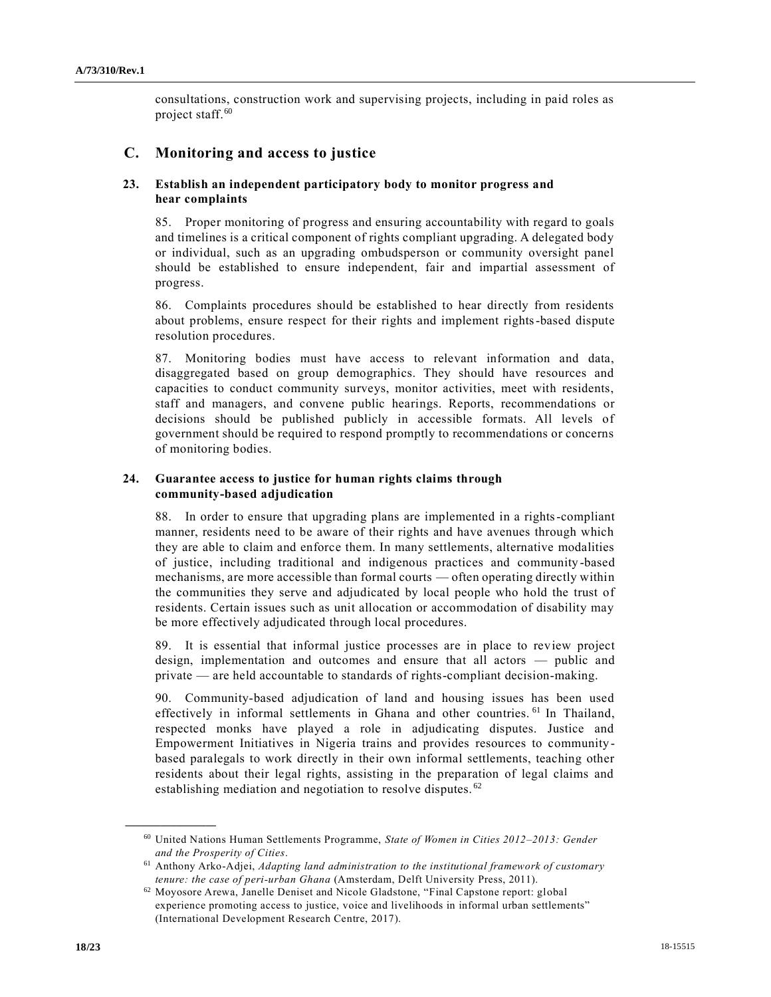consultations, construction work and supervising projects, including in paid roles as project staff.<sup>60</sup>

## **C. Monitoring and access to justice**

## **23. Establish an independent participatory body to monitor progress and hear complaints**

85. Proper monitoring of progress and ensuring accountability with regard to goals and timelines is a critical component of rights compliant upgrading. A delegated body or individual, such as an upgrading ombudsperson or community oversight panel should be established to ensure independent, fair and impartial assessment of progress.

86. Complaints procedures should be established to hear directly from residents about problems, ensure respect for their rights and implement rights-based dispute resolution procedures.

87. Monitoring bodies must have access to relevant information and data, disaggregated based on group demographics. They should have resources and capacities to conduct community surveys, monitor activities, meet with residents, staff and managers, and convene public hearings. Reports, recommendations or decisions should be published publicly in accessible formats. All levels of government should be required to respond promptly to recommendations or concerns of monitoring bodies.

## **24. Guarantee access to justice for human rights claims through community-based adjudication**

88. In order to ensure that upgrading plans are implemented in a rights-compliant manner, residents need to be aware of their rights and have avenues through which they are able to claim and enforce them. In many settlements, alternative modalities of justice, including traditional and indigenous practices and community -based mechanisms, are more accessible than formal courts — often operating directly within the communities they serve and adjudicated by local people who hold the trust of residents. Certain issues such as unit allocation or accommodation of disability may be more effectively adjudicated through local procedures.

89. It is essential that informal justice processes are in place to review project design, implementation and outcomes and ensure that all actors — public and private — are held accountable to standards of rights-compliant decision-making.

90. Community-based adjudication of land and housing issues has been used effectively in informal settlements in Ghana and other countries.<sup>61</sup> In Thailand, respected monks have played a role in adjudicating disputes. Justice and Empowerment Initiatives in Nigeria trains and provides resources to community based paralegals to work directly in their own informal settlements, teaching other residents about their legal rights, assisting in the preparation of legal claims and establishing mediation and negotiation to resolve disputes. <sup>62</sup>

<sup>60</sup> United Nations Human Settlements Programme, *State of Women in Cities 2012–2013: Gender and the Prosperity of Cities*.

<sup>61</sup> Anthony Arko-Adjei, *Adapting land administration to the institutional framework of customary tenure: the case of peri-urban Ghana* (Amsterdam, Delft University Press, 2011).

<sup>62</sup> Moyosore Arewa, Janelle Deniset and Nicole Gladstone, "Final Capstone report: global experience promoting access to justice, voice and livelihoods in informal urban settlements" (International Development Research Centre, 2017).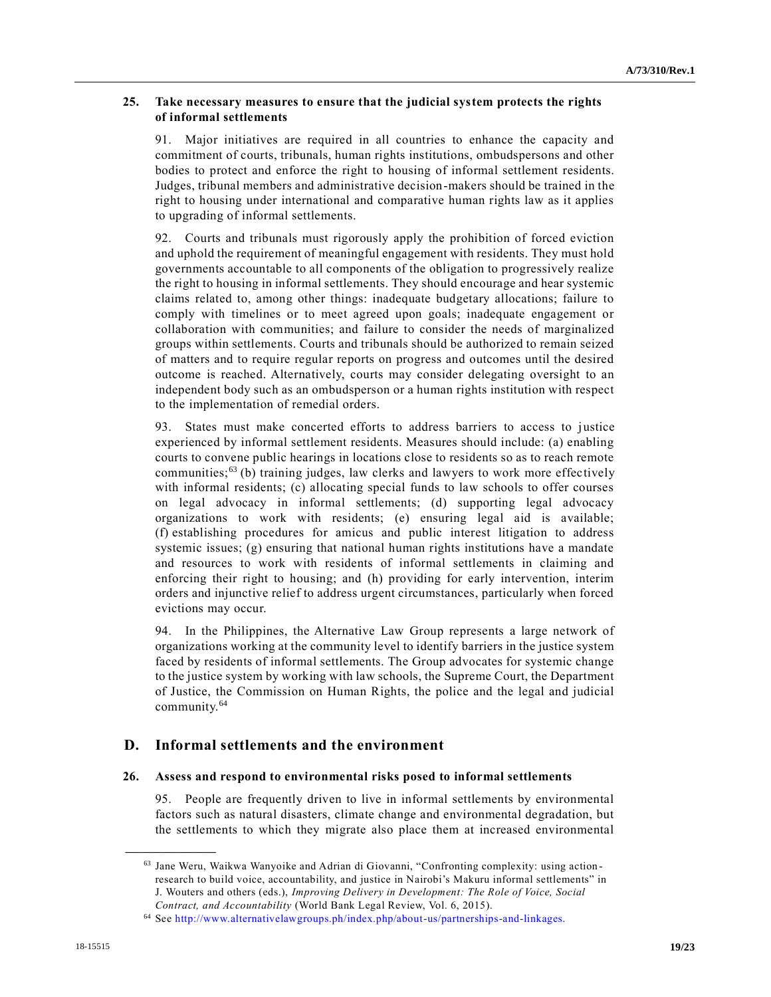#### **25. Take necessary measures to ensure that the judicial system protects the rights of informal settlements**

91. Major initiatives are required in all countries to enhance the capacity and commitment of courts, tribunals, human rights institutions, ombudspersons and other bodies to protect and enforce the right to housing of informal settlement residents. Judges, tribunal members and administrative decision-makers should be trained in the right to housing under international and comparative human rights law as it applies to upgrading of informal settlements.

92. Courts and tribunals must rigorously apply the prohibition of forced eviction and uphold the requirement of meaningful engagement with residents. They must hold governments accountable to all components of the obligation to progressively realize the right to housing in informal settlements. They should encourage and hear systemic claims related to, among other things: inadequate budgetary allocations; failure to comply with timelines or to meet agreed upon goals; inadequate engagement or collaboration with communities; and failure to consider the needs of marginalized groups within settlements. Courts and tribunals should be authorized to remain seized of matters and to require regular reports on progress and outcomes until the desired outcome is reached. Alternatively, courts may consider delegating oversight to an independent body such as an ombudsperson or a human rights institution with respect to the implementation of remedial orders.

93. States must make concerted efforts to address barriers to access to justice experienced by informal settlement residents. Measures should include: (a) enabling courts to convene public hearings in locations close to residents so as to reach remote communities; $63$  (b) training judges, law clerks and lawyers to work more effectively with informal residents; (c) allocating special funds to law schools to offer courses on legal advocacy in informal settlements; (d) supporting legal advocacy organizations to work with residents; (e) ensuring legal aid is available; (f) establishing procedures for amicus and public interest litigation to address systemic issues;  $(g)$  ensuring that national human rights institutions have a mandate and resources to work with residents of informal settlements in claiming and enforcing their right to housing; and (h) providing for early intervention, interim orders and injunctive relief to address urgent circumstances, particularly when forced evictions may occur.

94. In the Philippines, the Alternative Law Group represents a large network of organizations working at the community level to identify barriers in the justice system faced by residents of informal settlements. The Group advocates for systemic change to the justice system by working with law schools, the Supreme Court, the Department of Justice, the Commission on Human Rights, the police and the legal and judicial community.<sup>64</sup>

## **D. Informal settlements and the environment**

#### **26. Assess and respond to environmental risks posed to informal settlements**

95. People are frequently driven to live in informal settlements by environmental factors such as natural disasters, climate change and environmental degradation, but the settlements to which they migrate also place them at increased environmental

<sup>63</sup> Jane Weru, Waikwa Wanyoike and Adrian di Giovanni, "Confronting complexity: using action research to build voice, accountability, and justice in Nairobi's Makuru informal settlements" in J. Wouters and others (eds.), *Improving Delivery in Development: The Role of Voice, Social Contract, and Accountability* (World Bank Legal Review, Vol. 6, 2015).

<sup>64</sup> See [http://www.alternativelawgroups.ph/index.php/about-us/partnerships-and-linkages.](http://www.alternativelawgroups.ph/index.php/about-us/partnerships-and-linkages)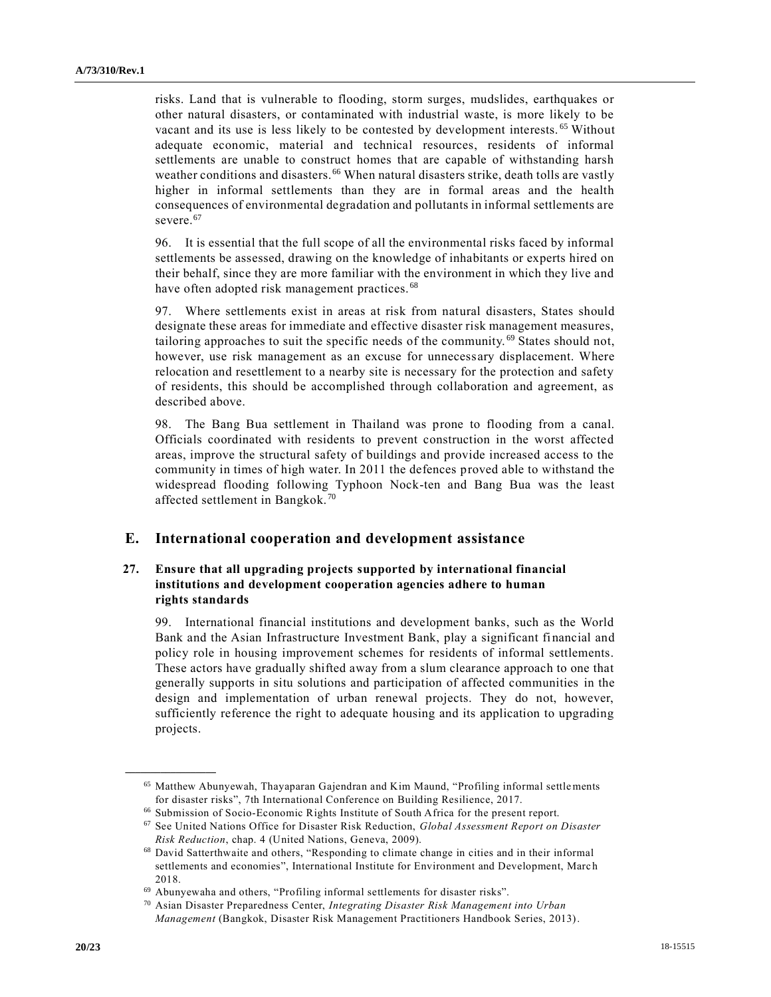risks. Land that is vulnerable to flooding, storm surges, mudslides, earthquakes or other natural disasters, or contaminated with industrial waste, is more likely to be vacant and its use is less likely to be contested by development interests. <sup>65</sup> Without adequate economic, material and technical resources, residents of informal settlements are unable to construct homes that are capable of withstanding harsh weather conditions and disasters.<sup>66</sup> When natural disasters strike, death tolls are vastly higher in informal settlements than they are in formal areas and the health consequences of environmental degradation and pollutants in informal settlements are severe.<sup>67</sup>

96. It is essential that the full scope of all the environmental risks faced by informal settlements be assessed, drawing on the knowledge of inhabitants or experts hired on their behalf, since they are more familiar with the environment in which they live and have often adopted risk management practices.<sup>68</sup>

97. Where settlements exist in areas at risk from natural disasters, States should designate these areas for immediate and effective disaster risk management measures, tailoring approaches to suit the specific needs of the community.<sup>69</sup> States should not, however, use risk management as an excuse for unnecessary displacement. Where relocation and resettlement to a nearby site is necessary for the protection and safety of residents, this should be accomplished through collaboration and agreement, as described above.

98. The Bang Bua settlement in Thailand was prone to flooding from a canal. Officials coordinated with residents to prevent construction in the worst affected areas, improve the structural safety of buildings and provide increased access to the community in times of high water. In 2011 the defences proved able to withstand the widespread flooding following Typhoon Nock-ten and Bang Bua was the least affected settlement in Bangkok. <sup>70</sup>

### **E. International cooperation and development assistance**

## **27. Ensure that all upgrading projects supported by international financial institutions and development cooperation agencies adhere to human rights standards**

99. International financial institutions and development banks, such as the World Bank and the Asian Infrastructure Investment Bank, play a significant fi nancial and policy role in housing improvement schemes for residents of informal settlements. These actors have gradually shifted away from a slum clearance approach to one that generally supports in situ solutions and participation of affected communities in the design and implementation of urban renewal projects. They do not, however, sufficiently reference the right to adequate housing and its application to upgrading projects.

<sup>65</sup> Matthew Abunyewah, Thayaparan Gajendran and Kim Maund, "Profiling informal settlements for disaster risks", 7th International Conference on Building Resilience, 2017.

<sup>66</sup> Submission of Socio-Economic Rights Institute of South Africa for the present report.

<sup>67</sup> See United Nations Office for Disaster Risk Reduction, *Global Assessment Report on Disaster Risk Reduction*, chap. 4 (United Nations, Geneva, 2009).

<sup>68</sup> David Satterthwaite and others, "Responding to climate change in cities and in their informal settlements and economies", International Institute for Environment and Development, Marc h 2018.

<sup>69</sup> Abunyewaha and others, "Profiling informal settlements for disaster risks".

<sup>70</sup> Asian Disaster Preparedness Center, *Integrating Disaster Risk Management into Urban Management* (Bangkok, Disaster Risk Management Practitioners Handbook Series, 2013).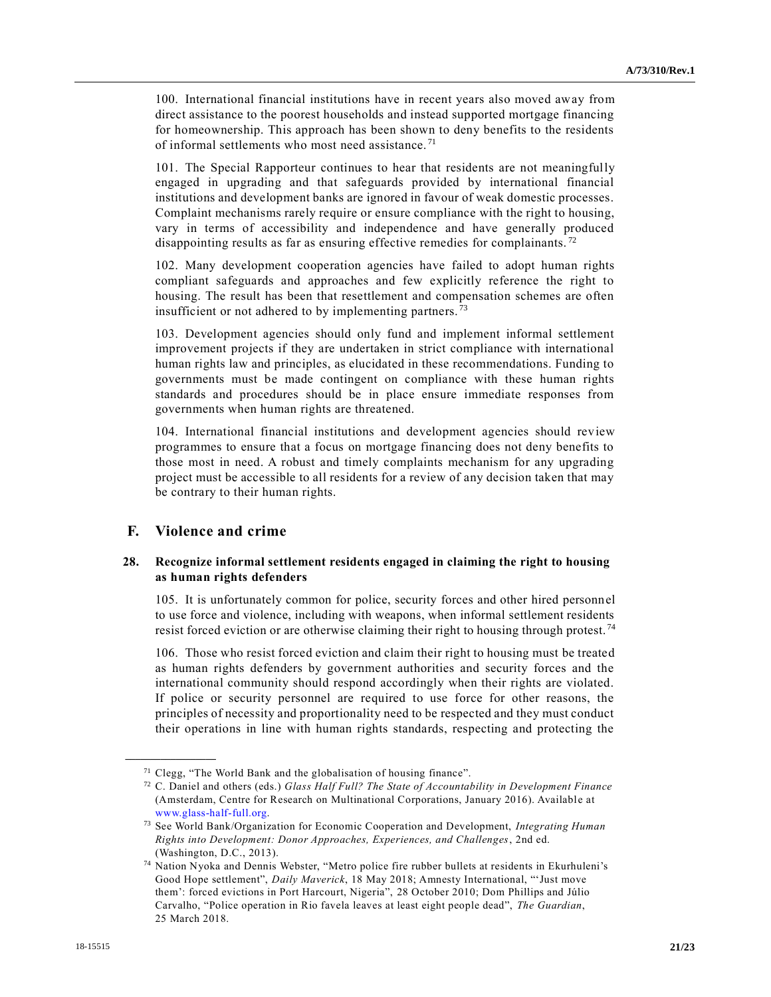100. International financial institutions have in recent years also moved away from direct assistance to the poorest households and instead supported mortgage financing for homeownership. This approach has been shown to deny benefits to the residents of informal settlements who most need assistance. <sup>71</sup>

101. The Special Rapporteur continues to hear that residents are not meaningfully engaged in upgrading and that safeguards provided by international financial institutions and development banks are ignored in favour of weak domestic processes. Complaint mechanisms rarely require or ensure compliance with the right to housing, vary in terms of accessibility and independence and have generally produced disappointing results as far as ensuring effective remedies for complainants.<sup>72</sup>

102. Many development cooperation agencies have failed to adopt human rights compliant safeguards and approaches and few explicitly reference the right to housing. The result has been that resettlement and compensation schemes are often insufficient or not adhered to by implementing partners.<sup>73</sup>

103. Development agencies should only fund and implement informal settlement improvement projects if they are undertaken in strict compliance with international human rights law and principles, as elucidated in these recommendations. Funding to governments must be made contingent on compliance with these human rights standards and procedures should be in place ensure immediate responses from governments when human rights are threatened.

104. International financial institutions and development agencies should review programmes to ensure that a focus on mortgage financing does not deny benefits to those most in need. A robust and timely complaints mechanism for any upgrading project must be accessible to all residents for a review of any decision taken that may be contrary to their human rights.

## **F. Violence and crime**

**\_\_\_\_\_\_\_\_\_\_\_\_\_\_\_\_\_\_**

### **28. Recognize informal settlement residents engaged in claiming the right to housing as human rights defenders**

105. It is unfortunately common for police, security forces and other hired personnel to use force and violence, including with weapons, when informal settlement residents resist forced eviction or are otherwise claiming their right to housing through protest.<sup>74</sup>

106. Those who resist forced eviction and claim their right to housing must be treated as human rights defenders by government authorities and security forces and the international community should respond accordingly when their rights are violated. If police or security personnel are required to use force for other reasons, the principles of necessity and proportionality need to be respected and they must conduct their operations in line with human rights standards, respecting and protecting the

 $71$  Clegg, "The World Bank and the globalisation of housing finance".

<sup>72</sup> C. Daniel and others (eds.) *Glass Half Full? The State of Accountability in Development Finance* (Amsterdam, Centre for Research on Multinational Corporations, January 2016). Available at [www.glass-half-full.org.](http://www.glass-half-full.org/)

<sup>73</sup> See World Bank/Organization for Economic Cooperation and Development, *Integrating Human Rights into Development: Donor Approaches, Experiences, and Challenges*, 2nd ed. (Washington, D.C., 2013).

<sup>74</sup> Nation Nyoka and Dennis Webster, "Metro police fire rubber bullets at residents in Ekurhuleni's Good Hope settlement", *Daily Maverick*, 18 May 2018; Amnesty International, "'Just move them': forced evictions in Port Harcourt, Nigeria", 28 October 2010; Dom Phillips and Júlio Carvalho, "Police operation in Rio favela leaves at least eight people dead", *The Guardian*, 25 March 2018.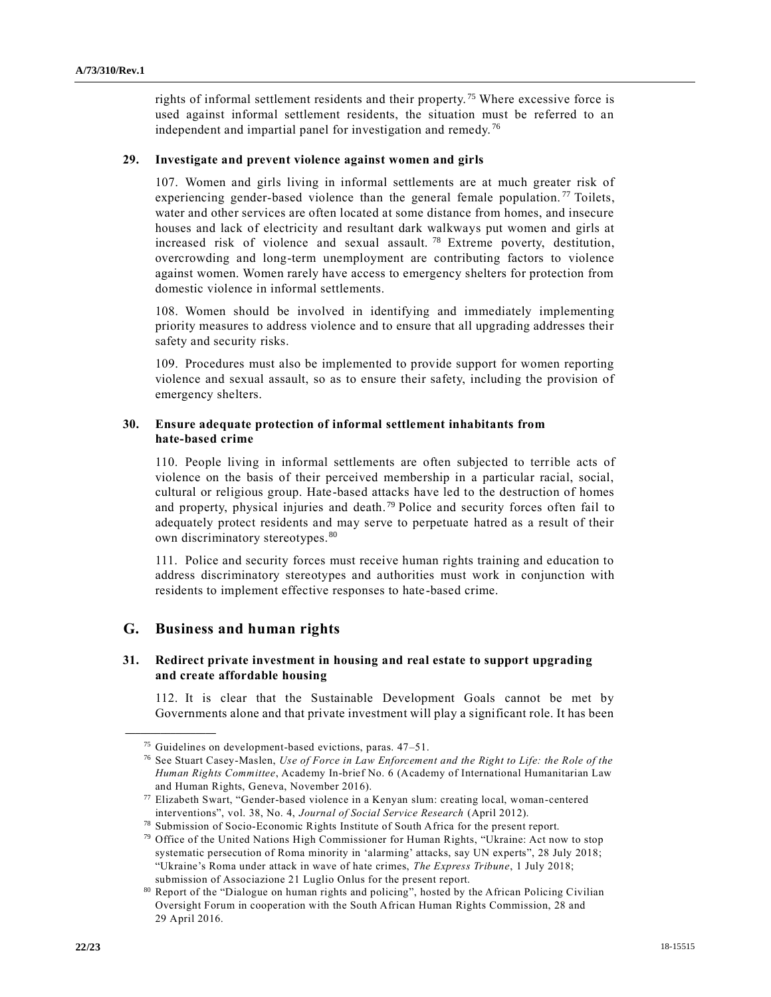rights of informal settlement residents and their property. <sup>75</sup> Where excessive force is used against informal settlement residents, the situation must be referred to an independent and impartial panel for investigation and remedy. <sup>76</sup>

## **29. Investigate and prevent violence against women and girls**

107. Women and girls living in informal settlements are at much greater risk of experiencing gender-based violence than the general female population.<sup>77</sup> Toilets, water and other services are often located at some distance from homes, and insecure houses and lack of electricity and resultant dark walkways put women and girls at increased risk of violence and sexual assault. <sup>78</sup> Extreme poverty, destitution, overcrowding and long-term unemployment are contributing factors to violence against women. Women rarely have access to emergency shelters for protection from domestic violence in informal settlements.

108. Women should be involved in identifying and immediately implementing priority measures to address violence and to ensure that all upgrading addresses their safety and security risks.

109. Procedures must also be implemented to provide support for women reporting violence and sexual assault, so as to ensure their safety, including the provision of emergency shelters.

## **30. Ensure adequate protection of informal settlement inhabitants from hate-based crime**

110. People living in informal settlements are often subjected to terrible acts of violence on the basis of their perceived membership in a particular racial, social, cultural or religious group. Hate-based attacks have led to the destruction of homes and property, physical injuries and death. <sup>79</sup> Police and security forces often fail to adequately protect residents and may serve to perpetuate hatred as a result of their own discriminatory stereotypes. <sup>80</sup>

111. Police and security forces must receive human rights training and education to address discriminatory stereotypes and authorities must work in conjunction with residents to implement effective responses to hate -based crime.

## **G. Business and human rights**

**\_\_\_\_\_\_\_\_\_\_\_\_\_\_\_\_\_\_**

## **31. Redirect private investment in housing and real estate to support upgrading and create affordable housing**

112. It is clear that the Sustainable Development Goals cannot be met by Governments alone and that private investment will play a significant role. It has been

<sup>75</sup> Guidelines on development-based evictions, paras. 47–51.

<sup>76</sup> See Stuart Casey-Maslen, *Use of Force in Law Enforcement and the Right to Life: the Role of the Human Rights Committee*, Academy In-brief No. 6 (Academy of International Humanitarian Law and Human Rights, Geneva, November 2016).

 $77$  Elizabeth Swart, "Gender-based violence in a Kenyan slum: creating local, woman-centered interventions", vol. 38, No. 4, *Journal of Social Service Research* (April 2012).

<sup>78</sup> Submission of Socio-Economic Rights Institute of South Africa for the present report.

<sup>79</sup> Office of the United Nations High Commissioner for Human Rights, "Ukraine: Act now to stop systematic persecution of Roma minority in 'alarming' attacks, say UN experts", 28 July 2018; "Ukraine's Roma under attack in wave of hate crimes, *The Express Tribune*, 1 July 2018; submission of Associazione 21 Luglio Onlus for the present report.

<sup>80</sup> Report of the "Dialogue on human rights and policing", hosted by the African Policing Civilian Oversight Forum in cooperation with the South African Human Rights Commission, 28 and 29 April 2016.